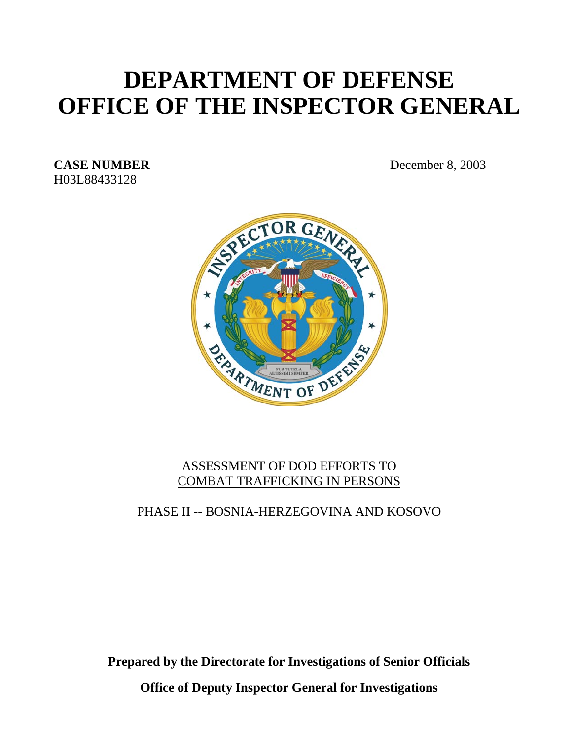# **DEPARTMENT OF DEFENSE OFFICE OF THE INSPECTOR GENERAL**

H03L88433128

**CASE NUMBER** December 8, 2003



# ASSESSMENT OF DOD EFFORTS TO COMBAT TRAFFICKING IN PERSONS

# PHASE II -- BOSNIA-HERZEGOVINA AND KOSOVO

**Prepared by the Directorate for Investigations of Senior Officials** 

**Office of Deputy Inspector General for Investigations**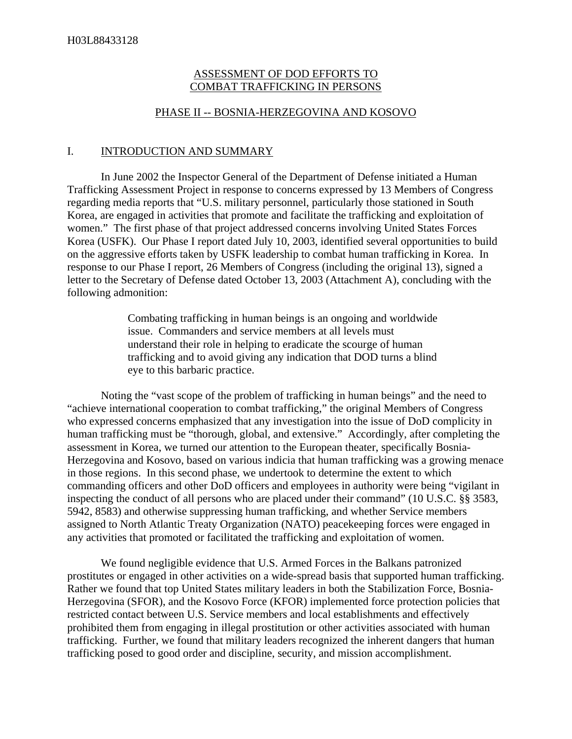# ASSESSMENT OF DOD EFFORTS TO COMBAT TRAFFICKING IN PERSONS

## PHASE II -- BOSNIA-HERZEGOVINA AND KOSOVO

#### I. INTRODUCTION AND SUMMARY

In June 2002 the Inspector General of the Department of Defense initiated a Human Trafficking Assessment Project in response to concerns expressed by 13 Members of Congress regarding media reports that "U.S. military personnel, particularly those stationed in South Korea, are engaged in activities that promote and facilitate the trafficking and exploitation of women." The first phase of that project addressed concerns involving United States Forces Korea (USFK). Our Phase I report dated July 10, 2003, identified several opportunities to build on the aggressive efforts taken by USFK leadership to combat human trafficking in Korea. In response to our Phase I report, 26 Members of Congress (including the original 13), signed a letter to the Secretary of Defense dated October 13, 2003 (Attachment A), concluding with the following admonition:

> Combating trafficking in human beings is an ongoing and worldwide issue. Commanders and service members at all levels must understand their role in helping to eradicate the scourge of human trafficking and to avoid giving any indication that DOD turns a blind eye to this barbaric practice.

Noting the "vast scope of the problem of trafficking in human beings" and the need to "achieve international cooperation to combat trafficking," the original Members of Congress who expressed concerns emphasized that any investigation into the issue of DoD complicity in human trafficking must be "thorough, global, and extensive." Accordingly, after completing the assessment in Korea, we turned our attention to the European theater, specifically Bosnia-Herzegovina and Kosovo, based on various indicia that human trafficking was a growing menace in those regions. In this second phase, we undertook to determine the extent to which commanding officers and other DoD officers and employees in authority were being "vigilant in inspecting the conduct of all persons who are placed under their command" (10 U.S.C. §§ 3583, 5942, 8583) and otherwise suppressing human trafficking, and whether Service members assigned to North Atlantic Treaty Organization (NATO) peacekeeping forces were engaged in any activities that promoted or facilitated the trafficking and exploitation of women.

We found negligible evidence that U.S. Armed Forces in the Balkans patronized prostitutes or engaged in other activities on a wide-spread basis that supported human trafficking. Rather we found that top United States military leaders in both the Stabilization Force, Bosnia-Herzegovina (SFOR), and the Kosovo Force (KFOR) implemented force protection policies that restricted contact between U.S. Service members and local establishments and effectively prohibited them from engaging in illegal prostitution or other activities associated with human trafficking. Further, we found that military leaders recognized the inherent dangers that human trafficking posed to good order and discipline, security, and mission accomplishment.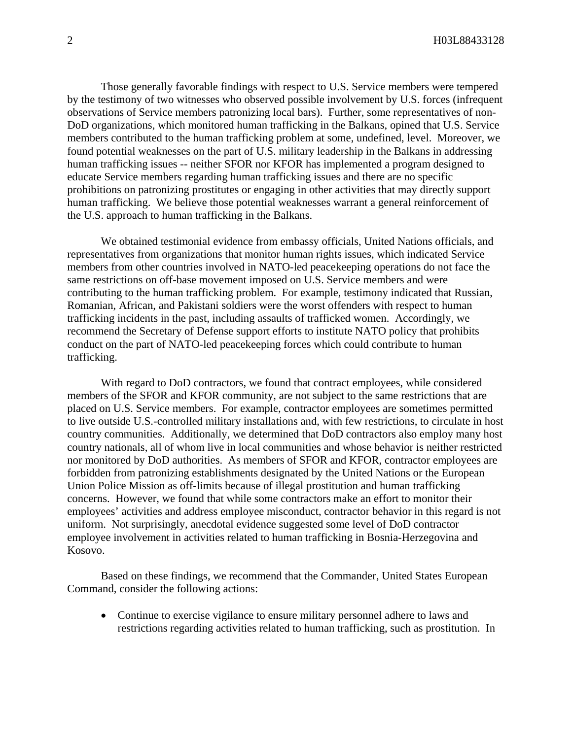Those generally favorable findings with respect to U.S. Service members were tempered by the testimony of two witnesses who observed possible involvement by U.S. forces (infrequent observations of Service members patronizing local bars). Further, some representatives of non-DoD organizations, which monitored human trafficking in the Balkans, opined that U.S. Service members contributed to the human trafficking problem at some, undefined, level. Moreover, we found potential weaknesses on the part of U.S. military leadership in the Balkans in addressing human trafficking issues -- neither SFOR nor KFOR has implemented a program designed to educate Service members regarding human trafficking issues and there are no specific prohibitions on patronizing prostitutes or engaging in other activities that may directly support human trafficking. We believe those potential weaknesses warrant a general reinforcement of the U.S. approach to human trafficking in the Balkans.

We obtained testimonial evidence from embassy officials, United Nations officials, and representatives from organizations that monitor human rights issues, which indicated Service members from other countries involved in NATO-led peacekeeping operations do not face the same restrictions on off-base movement imposed on U.S. Service members and were contributing to the human trafficking problem. For example, testimony indicated that Russian, Romanian, African, and Pakistani soldiers were the worst offenders with respect to human trafficking incidents in the past, including assaults of trafficked women. Accordingly, we recommend the Secretary of Defense support efforts to institute NATO policy that prohibits conduct on the part of NATO-led peacekeeping forces which could contribute to human trafficking.

With regard to DoD contractors, we found that contract employees, while considered members of the SFOR and KFOR community, are not subject to the same restrictions that are placed on U.S. Service members.For example, contractor employees are sometimes permitted to live outside U.S.-controlled military installations and, with few restrictions, to circulate in host country communities. Additionally, we determined that DoD contractors also employ many host country nationals, all of whom live in local communities and whose behavior is neither restricted nor monitored by DoD authorities. As members of SFOR and KFOR, contractor employees are forbidden from patronizing establishments designated by the United Nations or the European Union Police Mission as off-limits because of illegal prostitution and human trafficking concerns. However, we found that while some contractors make an effort to monitor their employees' activities and address employee misconduct, contractor behavior in this regard is not uniform. Not surprisingly, anecdotal evidence suggested some level of DoD contractor employee involvement in activities related to human trafficking in Bosnia-Herzegovina and Kosovo.

Based on these findings, we recommend that the Commander, United States European Command, consider the following actions:

• Continue to exercise vigilance to ensure military personnel adhere to laws and restrictions regarding activities related to human trafficking, such as prostitution. In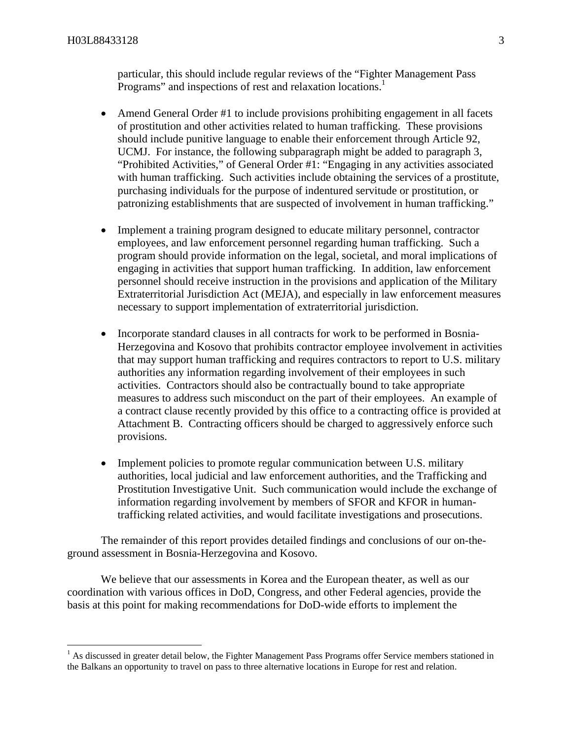$\overline{a}$ 

particular, this should include regular reviews of the "Fighter Management Pass Programs" and inspections of rest and relaxation locations.<sup>[1](#page-3-0)</sup>

- Amend General Order #1 to include provisions prohibiting engagement in all facets of prostitution and other activities related to human trafficking. These provisions should include punitive language to enable their enforcement through Article 92, UCMJ. For instance, the following subparagraph might be added to paragraph 3, "Prohibited Activities," of General Order #1: "Engaging in any activities associated with human trafficking. Such activities include obtaining the services of a prostitute, purchasing individuals for the purpose of indentured servitude or prostitution, or patronizing establishments that are suspected of involvement in human trafficking."
- Implement a training program designed to educate military personnel, contractor employees, and law enforcement personnel regarding human trafficking. Such a program should provide information on the legal, societal, and moral implications of engaging in activities that support human trafficking. In addition, law enforcement personnel should receive instruction in the provisions and application of the Military Extraterritorial Jurisdiction Act (MEJA), and especially in law enforcement measures necessary to support implementation of extraterritorial jurisdiction.
- Incorporate standard clauses in all contracts for work to be performed in Bosnia-Herzegovina and Kosovo that prohibits contractor employee involvement in activities that may support human trafficking and requires contractors to report to U.S. military authorities any information regarding involvement of their employees in such activities. Contractors should also be contractually bound to take appropriate measures to address such misconduct on the part of their employees. An example of a contract clause recently provided by this office to a contracting office is provided at Attachment B. Contracting officers should be charged to aggressively enforce such provisions.
- Implement policies to promote regular communication between U.S. military authorities, local judicial and law enforcement authorities, and the Trafficking and Prostitution Investigative Unit. Such communication would include the exchange of information regarding involvement by members of SFOR and KFOR in humantrafficking related activities, and would facilitate investigations and prosecutions.

The remainder of this report provides detailed findings and conclusions of our on-theground assessment in Bosnia-Herzegovina and Kosovo.

We believe that our assessments in Korea and the European theater, as well as our coordination with various offices in DoD, Congress, and other Federal agencies, provide the basis at this point for making recommendations for DoD-wide efforts to implement the

<span id="page-3-0"></span><sup>&</sup>lt;sup>1</sup> As discussed in greater detail below, the Fighter Management Pass Programs offer Service members stationed in the Balkans an opportunity to travel on pass to three alternative locations in Europe for rest and relation.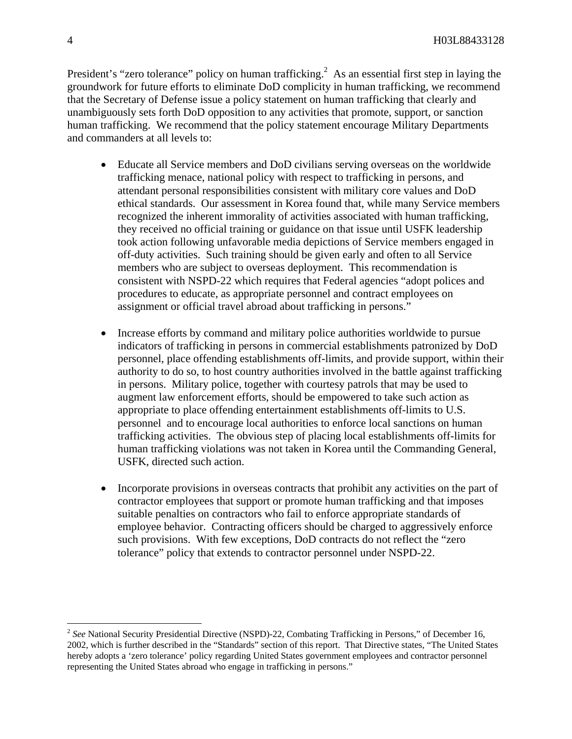President's "zero tolerance" policy on human trafficking.<sup>[2](#page-4-0)</sup> As an essential first step in laying the groundwork for future efforts to eliminate DoD complicity in human trafficking, we recommend that the Secretary of Defense issue a policy statement on human trafficking that clearly and unambiguously sets forth DoD opposition to any activities that promote, support, or sanction human trafficking. We recommend that the policy statement encourage Military Departments and commanders at all levels to:

- Educate all Service members and DoD civilians serving overseas on the worldwide trafficking menace, national policy with respect to trafficking in persons, and attendant personal responsibilities consistent with military core values and DoD ethical standards. Our assessment in Korea found that, while many Service members recognized the inherent immorality of activities associated with human trafficking, they received no official training or guidance on that issue until USFK leadership took action following unfavorable media depictions of Service members engaged in off-duty activities. Such training should be given early and often to all Service members who are subject to overseas deployment. This recommendation is consistent with NSPD-22 which requires that Federal agencies "adopt polices and procedures to educate, as appropriate personnel and contract employees on assignment or official travel abroad about trafficking in persons."
- Increase efforts by command and military police authorities worldwide to pursue indicators of trafficking in persons in commercial establishments patronized by DoD personnel, place offending establishments off-limits, and provide support, within their authority to do so, to host country authorities involved in the battle against trafficking in persons. Military police, together with courtesy patrols that may be used to augment law enforcement efforts, should be empowered to take such action as appropriate to place offending entertainment establishments off-limits to U.S. personnel and to encourage local authorities to enforce local sanctions on human trafficking activities. The obvious step of placing local establishments off-limits for human trafficking violations was not taken in Korea until the Commanding General, USFK, directed such action.
- Incorporate provisions in overseas contracts that prohibit any activities on the part of contractor employees that support or promote human trafficking and that imposes suitable penalties on contractors who fail to enforce appropriate standards of employee behavior. Contracting officers should be charged to aggressively enforce such provisions. With few exceptions, DoD contracts do not reflect the "zero tolerance" policy that extends to contractor personnel under NSPD-22.

<u>.</u>

<span id="page-4-0"></span><sup>&</sup>lt;sup>2</sup> See National Security Presidential Directive (NSPD)-22, Combating Trafficking in Persons," of December 16, 2002, which is further described in the "Standards" section of this report. That Directive states, "The United States hereby adopts a 'zero tolerance' policy regarding United States government employees and contractor personnel representing the United States abroad who engage in trafficking in persons."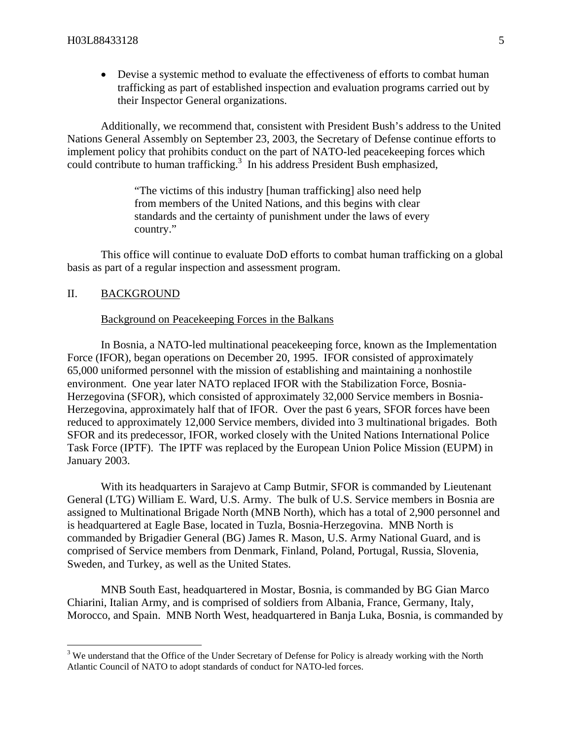• Devise a systemic method to evaluate the effectiveness of efforts to combat human trafficking as part of established inspection and evaluation programs carried out by their Inspector General organizations.

Additionally, we recommend that, consistent with President Bush's address to the United Nations General Assembly on September 23, 2003, the Secretary of Defense continue efforts to implement policy that prohibits conduct on the part of NATO-led peacekeeping forces which could contribute to human trafficking.<sup>[3](#page-5-0)</sup> In his address President Bush emphasized,

> "The victims of this industry [human trafficking] also need help from members of the United Nations, and this begins with clear standards and the certainty of punishment under the laws of every country."

This office will continue to evaluate DoD efforts to combat human trafficking on a global basis as part of a regular inspection and assessment program.

#### II. BACKGROUND

 $\overline{a}$ 

#### Background on Peacekeeping Forces in the Balkans

In Bosnia, a NATO-led multinational peacekeeping force, known as the Implementation Force (IFOR), began operations on December 20, 1995. IFOR consisted of approximately 65,000 uniformed personnel with the mission of establishing and maintaining a nonhostile environment. One year later NATO replaced IFOR with the Stabilization Force, Bosnia-Herzegovina (SFOR), which consisted of approximately 32,000 Service members in Bosnia-Herzegovina, approximately half that of IFOR. Over the past 6 years, SFOR forces have been reduced to approximately 12,000 Service members, divided into 3 multinational brigades. Both SFOR and its predecessor, IFOR, worked closely with the United Nations International Police Task Force (IPTF). The IPTF was replaced by the European Union Police Mission (EUPM) in January 2003.

With its headquarters in Sarajevo at Camp Butmir, SFOR is commanded by Lieutenant General (LTG) William E. Ward, U.S. Army. The bulk of U.S. Service members in Bosnia are assigned to Multinational Brigade North (MNB North), which has a total of 2,900 personnel and is headquartered at Eagle Base, located in Tuzla, Bosnia-Herzegovina. MNB North is commanded by Brigadier General (BG) James R. Mason, U.S. Army National Guard, and is comprised of Service members from Denmark, Finland, Poland, Portugal, Russia, Slovenia, Sweden, and Turkey, as well as the United States.

MNB South East, headquartered in Mostar, Bosnia, is commanded by BG Gian Marco Chiarini, Italian Army, and is comprised of soldiers from Albania, France, Germany, Italy, Morocco, and Spain. MNB North West, headquartered in Banja Luka, Bosnia, is commanded by

<span id="page-5-0"></span><sup>&</sup>lt;sup>3</sup> We understand that the Office of the Under Secretary of Defense for Policy is already working with the North Atlantic Council of NATO to adopt standards of conduct for NATO-led forces.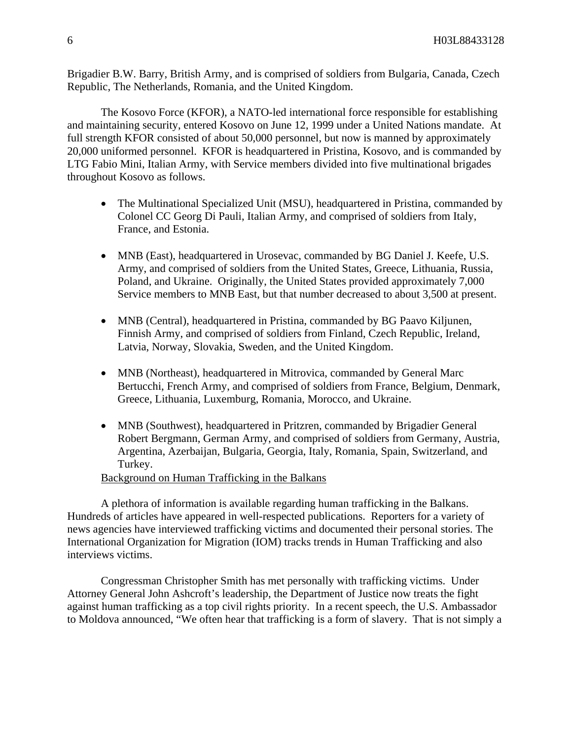Brigadier B.W. Barry, British Army, and is comprised of soldiers from Bulgaria, Canada, Czech Republic, The Netherlands, Romania, and the United Kingdom.

The Kosovo Force (KFOR), a NATO-led international force responsible for establishing and maintaining security, entered Kosovo on June 12, 1999 under a United Nations mandate. At full strength KFOR consisted of about 50,000 personnel, but now is manned by approximately 20,000 uniformed personnel. KFOR is headquartered in Pristina, Kosovo, and is commanded by LTG Fabio Mini, Italian Army, with Service members divided into five multinational brigades throughout Kosovo as follows.

- The Multinational Specialized Unit (MSU), headquartered in Pristina, commanded by Colonel CC Georg Di Pauli, Italian Army, and comprised of soldiers from Italy, France, and Estonia.
- MNB (East), headquartered in Urosevac, commanded by BG Daniel J. Keefe, U.S. Army, and comprised of soldiers from the United States, Greece, Lithuania, Russia, Poland, and Ukraine. Originally, the United States provided approximately 7,000 Service members to MNB East, but that number decreased to about 3,500 at present.
- MNB (Central), headquartered in Pristina, commanded by BG Paavo Kiljunen, Finnish Army, and comprised of soldiers from Finland, Czech Republic, Ireland, Latvia, Norway, Slovakia, Sweden, and the United Kingdom.
- MNB (Northeast), headquartered in Mitrovica, commanded by General Marc Bertucchi, French Army, and comprised of soldiers from France, Belgium, Denmark, Greece, Lithuania, Luxemburg, Romania, Morocco, and Ukraine.
- MNB (Southwest), headquartered in Pritzren, commanded by Brigadier General Robert Bergmann, German Army, and comprised of soldiers from Germany, Austria, Argentina, Azerbaijan, Bulgaria, Georgia, Italy, Romania, Spain, Switzerland, and Turkey.

## Background on Human Trafficking in the Balkans

A plethora of information is available regarding human trafficking in the Balkans. Hundreds of articles have appeared in well-respected publications. Reporters for a variety of news agencies have interviewed trafficking victims and documented their personal stories. The International Organization for Migration (IOM) tracks trends in Human Trafficking and also interviews victims.

Congressman Christopher Smith has met personally with trafficking victims. Under Attorney General John Ashcroft's leadership, the Department of Justice now treats the fight against human trafficking as a top civil rights priority. In a recent speech, the U.S. Ambassador to Moldova announced, "We often hear that trafficking is a form of slavery. That is not simply a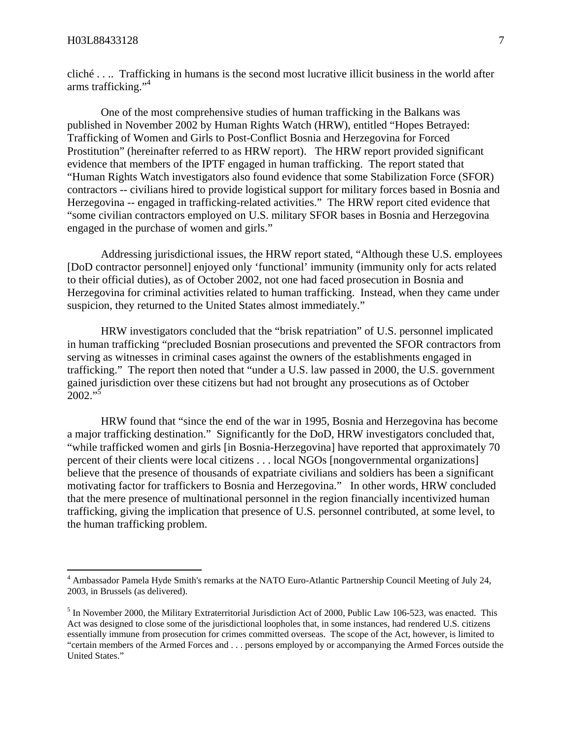$\overline{a}$ 

cliché . . .. Trafficking in humans is the second most lucrative illicit business in the world after arms trafficking."<sup>4</sup>

One of the most comprehensive studies of human trafficking in the Balkans was published in November 2002 by Human Rights Watch (HRW), entitled "Hopes Betrayed: Trafficking of Women and Girls to Post-Conflict Bosnia and Herzegovina for Forced Prostitution" (hereinafter referred to as HRW report). The HRW report provided significant evidence that members of the IPTF engaged in human trafficking. The report stated that "Human Rights Watch investigators also found evidence that some Stabilization Force (SFOR) contractors -- civilians hired to provide logistical support for military forces based in Bosnia and Herzegovina -- engaged in trafficking-related activities." The HRW report cited evidence that "some civilian contractors employed on U.S. military SFOR bases in Bosnia and Herzegovina engaged in the purchase of women and girls."

Addressing jurisdictional issues, the HRW report stated, "Although these U.S. employees [DoD contractor personnel] enjoyed only 'functional' immunity (immunity only for acts related to their official duties), as of October 2002, not one had faced prosecution in Bosnia and Herzegovina for criminal activities related to human trafficking. Instead, when they came under suspicion, they returned to the United States almost immediately."

HRW investigators concluded that the "brisk repatriation" of U.S. personnel implicated in human trafficking "precluded Bosnian prosecutions and prevented the SFOR contractors from serving as witnesses in criminal cases against the owners of the establishments engaged in trafficking." The report then noted that "under a U.S. law passed in 2000, the U.S. government gained jurisdiction over these citizens but had not brought any prosecutions as of October  $2002."$ <sup>[5](#page-7-1)</sup>

HRW found that "since the end of the war in 1995, Bosnia and Herzegovina has become a major trafficking destination." Significantly for the DoD, HRW investigators concluded that, "while trafficked women and girls [in Bosnia-Herzegovina] have reported that approximately 70 percent of their clients were local citizens . . . local NGOs [nongovernmental organizations] believe that the presence of thousands of expatriate civilians and soldiers has been a significant motivating factor for traffickers to Bosnia and Herzegovina." In other words, HRW concluded that the mere presence of multinational personnel in the region financially incentivized human trafficking, giving the implication that presence of U.S. personnel contributed, at some level, to the human trafficking problem.

<span id="page-7-0"></span><sup>&</sup>lt;sup>4</sup> Ambassador Pamela Hyde Smith's remarks at the NATO Euro-Atlantic Partnership Council Meeting of July 24, 2003, in Brussels (as delivered).

<span id="page-7-1"></span><sup>&</sup>lt;sup>5</sup> In November 2000, the Military Extraterritorial Jurisdiction Act of 2000, Public Law 106-523, was enacted. This Act was designed to close some of the jurisdictional loopholes that, in some instances, had rendered U.S. citizens essentially immune from prosecution for crimes committed overseas. The scope of the Act, however, is limited to "certain members of the Armed Forces and . . . persons employed by or accompanying the Armed Forces outside the United States."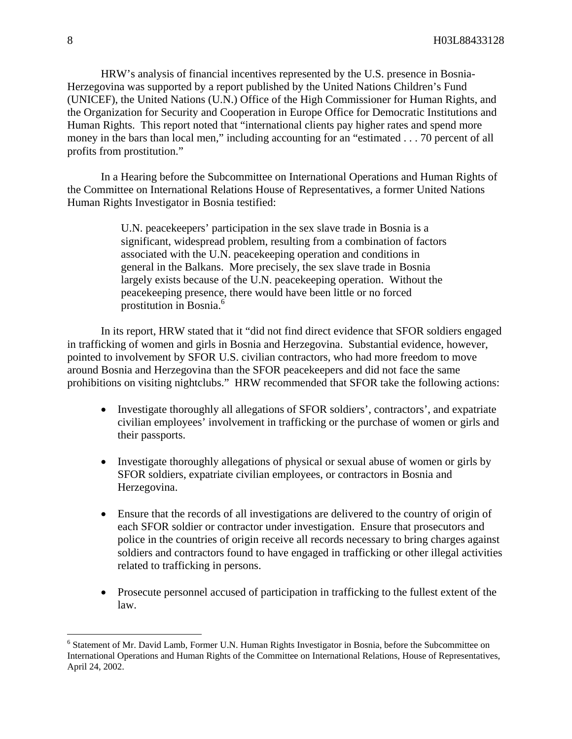HRW's analysis of financial incentives represented by the U.S. presence in Bosnia-Herzegovina was supported by a report published by the United Nations Children's Fund (UNICEF), the United Nations (U.N.) Office of the High Commissioner for Human Rights, and the Organization for Security and Cooperation in Europe Office for Democratic Institutions and Human Rights. This report noted that "international clients pay higher rates and spend more money in the bars than local men," including accounting for an "estimated . . . 70 percent of all profits from prostitution."

In a Hearing before the Subcommittee on International Operations and Human Rights of the Committee on International Relations House of Representatives, a former United Nations Human Rights Investigator in Bosnia testified:

> U.N. peacekeepers' participation in the sex slave trade in Bosnia is a significant, widespread problem, resulting from a combination of factors associated with the U.N. peacekeeping operation and conditions in general in the Balkans. More precisely, the sex slave trade in Bosnia largely exists because of the U.N. peacekeeping operation. Without the peacekeeping presence, there would have been little or no forced prostitution in Bosnia.[6](#page-8-0)

In its report, HRW stated that it "did not find direct evidence that SFOR soldiers engaged in trafficking of women and girls in Bosnia and Herzegovina. Substantial evidence, however, pointed to involvement by SFOR U.S. civilian contractors, who had more freedom to move around Bosnia and Herzegovina than the SFOR peacekeepers and did not face the same prohibitions on visiting nightclubs." HRW recommended that SFOR take the following actions:

- Investigate thoroughly all allegations of SFOR soldiers', contractors', and expatriate civilian employees' involvement in trafficking or the purchase of women or girls and their passports.
- Investigate thoroughly allegations of physical or sexual abuse of women or girls by SFOR soldiers, expatriate civilian employees, or contractors in Bosnia and Herzegovina.
- Ensure that the records of all investigations are delivered to the country of origin of each SFOR soldier or contractor under investigation. Ensure that prosecutors and police in the countries of origin receive all records necessary to bring charges against soldiers and contractors found to have engaged in trafficking or other illegal activities related to trafficking in persons.
- Prosecute personnel accused of participation in trafficking to the fullest extent of the law.

 $\overline{a}$ 

<span id="page-8-0"></span><sup>&</sup>lt;sup>6</sup> Statement of Mr. David Lamb, Former U.N. Human Rights Investigator in Bosnia, before the Subcommittee on International Operations and Human Rights of the Committee on International Relations, House of Representatives, April 24, 2002.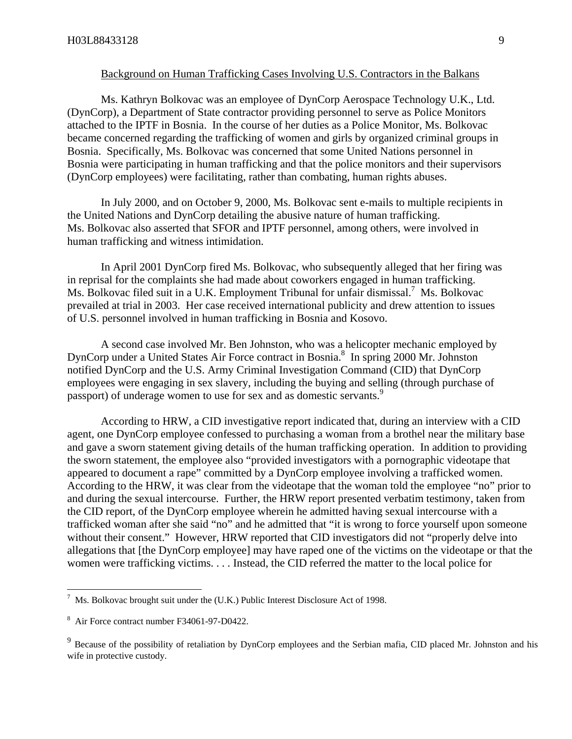#### Background on Human Trafficking Cases Involving U.S. Contractors in the Balkans

Ms. Kathryn Bolkovac was an employee of DynCorp Aerospace Technology U.K., Ltd. (DynCorp), a Department of State contractor providing personnel to serve as Police Monitors attached to the IPTF in Bosnia. In the course of her duties as a Police Monitor, Ms. Bolkovac became concerned regarding the trafficking of women and girls by organized criminal groups in Bosnia. Specifically, Ms. Bolkovac was concerned that some United Nations personnel in Bosnia were participating in human trafficking and that the police monitors and their supervisors (DynCorp employees) were facilitating, rather than combating, human rights abuses.

In July 2000, and on October 9, 2000, Ms. Bolkovac sent e-mails to multiple recipients in the United Nations and DynCorp detailing the abusive nature of human trafficking. Ms. Bolkovac also asserted that SFOR and IPTF personnel, among others, were involved in human trafficking and witness intimidation.

In April 2001 DynCorp fired Ms. Bolkovac, who subsequently alleged that her firing was in reprisal for the complaints she had made about coworkers engaged in human trafficking. Ms. Bolkovac filed suit in a U.K. Employment Tribunal for unfair dismissal.<sup>7</sup> Ms. Bolkovac prevailed at trial in 2003. Her case received international publicity and drew attention to issues of U.S. personnel involved in human trafficking in Bosnia and Kosovo.

A second case involved Mr. Ben Johnston, who was a helicopter mechanic employed by DynCorp under a United States Air Force contract in Bosnia.<sup>8</sup> In spring 2000 Mr. Johnston notified DynCorp and the U.S. Army Criminal Investigation Command (CID) that DynCorp employees were engaging in sex slavery, including the buying and selling (through purchase of passport) of underage women to use for sex and as domestic servants.<sup>[9](#page-9-2)</sup>

According to HRW, a CID investigative report indicated that, during an interview with a CID agent, one DynCorp employee confessed to purchasing a woman from a brothel near the military base and gave a sworn statement giving details of the human trafficking operation. In addition to providing the sworn statement, the employee also "provided investigators with a pornographic videotape that appeared to document a rape" committed by a DynCorp employee involving a trafficked women. According to the HRW, it was clear from the videotape that the woman told the employee "no" prior to and during the sexual intercourse. Further, the HRW report presented verbatim testimony, taken from the CID report, of the DynCorp employee wherein he admitted having sexual intercourse with a trafficked woman after she said "no" and he admitted that "it is wrong to force yourself upon someone without their consent." However, HRW reported that CID investigators did not "properly delve into allegations that [the DynCorp employee] may have raped one of the victims on the videotape or that the women were trafficking victims. . . . Instead, the CID referred the matter to the local police for

 $\overline{a}$ 

<span id="page-9-0"></span> $^7$  Ms. Bolkovac brought suit under the (U.K.) Public Interest Disclosure Act of 1998.

<span id="page-9-1"></span><sup>8</sup> Air Force contract number F34061-97-D0422.

<span id="page-9-2"></span><sup>&</sup>lt;sup>9</sup> Because of the possibility of retaliation by DynCorp employees and the Serbian mafia, CID placed Mr. Johnston and his wife in protective custody.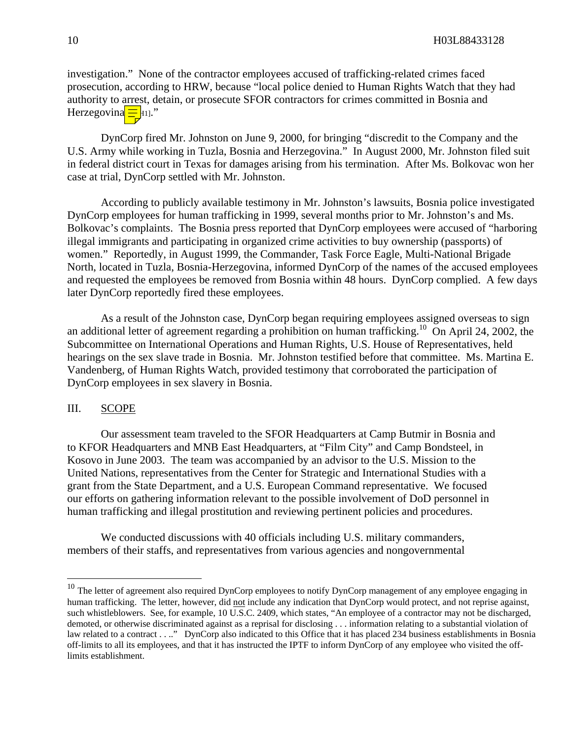investigation." None of the contractor employees accused of trafficking-related crimes faced prosecution, according to HRW, because "local police denied to Human Rights Watch that they had authority to arrest, detain, or prosecute SFOR contractors for crimes committed in Bosnia and Herzegovina $\equiv$  $\parallel$ <sub>11</sub>."

DynCorp fired Mr. Johnston on June 9, 2000, for bringing "discredit to the Company and the U.S. Army while working in Tuzla, Bosnia and Herzegovina." In August 2000, Mr. Johnston filed suit in federal district court in Texas for damages arising from his termination. After Ms. Bolkovac won her case at trial, DynCorp settled with Mr. Johnston.

According to publicly available testimony in Mr. Johnston's lawsuits, Bosnia police investigated DynCorp employees for human trafficking in 1999, several months prior to Mr. Johnston's and Ms. Bolkovac's complaints. The Bosnia press reported that DynCorp employees were accused of "harboring illegal immigrants and participating in organized crime activities to buy ownership (passports) of women." Reportedly, in August 1999, the Commander, Task Force Eagle, Multi-National Brigade North, located in Tuzla, Bosnia-Herzegovina, informed DynCorp of the names of the accused employees and requested the employees be removed from Bosnia within 48 hours. DynCorp complied. A few days later DynCorp reportedly fired these employees.

As a result of the Johnston case, DynCorp began requiring employees assigned overseas to sign an additional letter of agreement regarding a prohibition on human trafficking.<sup>10</sup> On April 24, 2002, the Subcommittee on International Operations and Human Rights, U.S. House of Representatives, held hearings on the sex slave trade in Bosnia. Mr. Johnston testified before that committee. Ms. Martina E. Vandenberg, of Human Rights Watch, provided testimony that corroborated the participation of DynCorp employees in sex slavery in Bosnia.

#### III. SCOPE

 $\overline{a}$ 

 Our assessment team traveled to the SFOR Headquarters at Camp Butmir in Bosnia and to KFOR Headquarters and MNB East Headquarters, at "Film City" and Camp Bondsteel, in Kosovo in June 2003. The team was accompanied by an advisor to the U.S. Mission to the United Nations, representatives from the Center for Strategic and International Studies with a grant from the State Department, and a U.S. European Command representative. We focused our efforts on gathering information relevant to the possible involvement of DoD personnel in human trafficking and illegal prostitution and reviewing pertinent policies and procedures.

We conducted discussions with 40 officials including U.S. military commanders, members of their staffs, and representatives from various agencies and nongovernmental

<span id="page-10-0"></span> $10$  The letter of agreement also required DynCorp employees to notify DynCorp management of any employee engaging in human trafficking. The letter, however, did not include any indication that DynCorp would protect, and not reprise against, such whistleblowers. See, for example, 10 U.S.C. 2409, which states, "An employee of a contractor may not be discharged, demoted, or otherwise discriminated against as a reprisal for disclosing . . . information relating to a substantial violation of law related to a contract . . .." DynCorp also indicated to this Office that it has placed 234 business establishments in Bosnia off-limits to all its employees, and that it has instructed the IPTF to inform DynCorp of any employee who visited the offlimits establishment.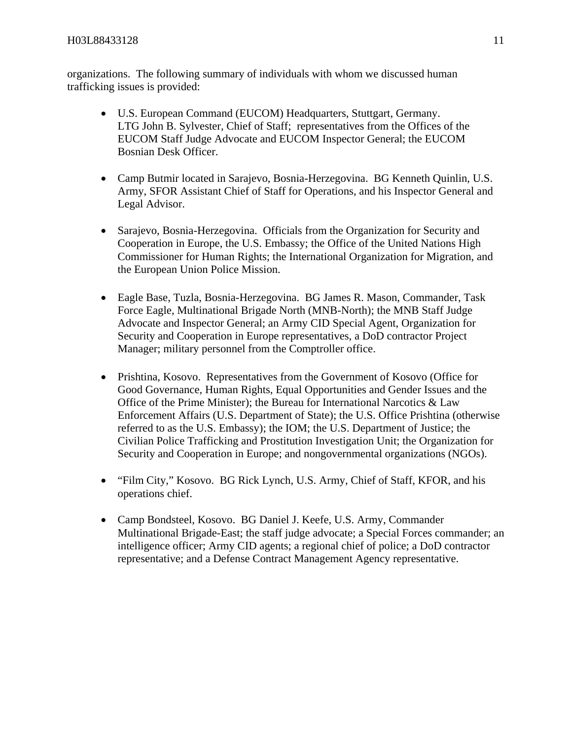organizations. The following summary of individuals with whom we discussed human trafficking issues is provided:

- U.S. European Command (EUCOM) Headquarters, Stuttgart, Germany. LTG John B. Sylvester, Chief of Staff; representatives from the Offices of the EUCOM Staff Judge Advocate and EUCOM Inspector General; the EUCOM Bosnian Desk Officer.
- Camp Butmir located in Sarajevo, Bosnia-Herzegovina. BG Kenneth Quinlin, U.S. Army, SFOR Assistant Chief of Staff for Operations, and his Inspector General and Legal Advisor.
- Sarajevo, Bosnia-Herzegovina. Officials from the Organization for Security and Cooperation in Europe, the U.S. Embassy; the Office of the United Nations High Commissioner for Human Rights; the International Organization for Migration, and the European Union Police Mission.
- Eagle Base, Tuzla, Bosnia-Herzegovina. BG James R. Mason, Commander, Task Force Eagle, Multinational Brigade North (MNB-North); the MNB Staff Judge Advocate and Inspector General; an Army CID Special Agent, Organization for Security and Cooperation in Europe representatives, a DoD contractor Project Manager; military personnel from the Comptroller office.
- Prishtina, Kosovo. Representatives from the Government of Kosovo (Office for Good Governance, Human Rights, Equal Opportunities and Gender Issues and the Office of the Prime Minister); the Bureau for International Narcotics & Law Enforcement Affairs (U.S. Department of State); the U.S. Office Prishtina (otherwise referred to as the U.S. Embassy); the IOM; the U.S. Department of Justice; the Civilian Police Trafficking and Prostitution Investigation Unit; the Organization for Security and Cooperation in Europe; and nongovernmental organizations (NGOs).
- "Film City," Kosovo. BG Rick Lynch, U.S. Army, Chief of Staff, KFOR, and his operations chief.
- Camp Bondsteel, Kosovo. BG Daniel J. Keefe, U.S. Army, Commander Multinational Brigade-East; the staff judge advocate; a Special Forces commander; an intelligence officer; Army CID agents; a regional chief of police; a DoD contractor representative; and a Defense Contract Management Agency representative.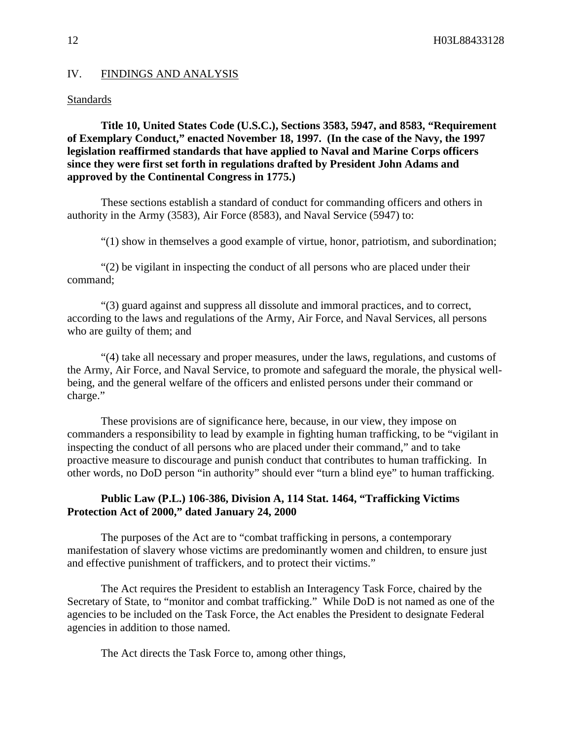#### IV. FINDINGS AND ANALYSIS

#### Standards

**Title 10, United States Code (U.S.C.), Sections 3583, 5947, and 8583, "Requirement of Exemplary Conduct," enacted November 18, 1997. (In the case of the Navy, the 1997 legislation reaffirmed standards that have applied to Naval and Marine Corps officers since they were first set forth in regulations drafted by President John Adams and approved by the Continental Congress in 1775.)**

 These sections establish a standard of conduct for commanding officers and others in authority in the Army (3583), Air Force (8583), and Naval Service (5947) to:

"(1) show in themselves a good example of virtue, honor, patriotism, and subordination;

"(2) be vigilant in inspecting the conduct of all persons who are placed under their command;

"(3) guard against and suppress all dissolute and immoral practices, and to correct, according to the laws and regulations of the Army, Air Force, and Naval Services, all persons who are guilty of them; and

"(4) take all necessary and proper measures, under the laws, regulations, and customs of the Army, Air Force, and Naval Service, to promote and safeguard the morale, the physical wellbeing, and the general welfare of the officers and enlisted persons under their command or charge."

These provisions are of significance here, because, in our view, they impose on commanders a responsibility to lead by example in fighting human trafficking, to be "vigilant in inspecting the conduct of all persons who are placed under their command," and to take proactive measure to discourage and punish conduct that contributes to human trafficking. In other words, no DoD person "in authority" should ever "turn a blind eye" to human trafficking.

## **Public Law (P.L.) 106-386, Division A, 114 Stat. 1464, "Trafficking Victims Protection Act of 2000," dated January 24, 2000**

The purposes of the Act are to "combat trafficking in persons, a contemporary manifestation of slavery whose victims are predominantly women and children, to ensure just and effective punishment of traffickers, and to protect their victims."

The Act requires the President to establish an Interagency Task Force, chaired by the Secretary of State, to "monitor and combat trafficking." While DoD is not named as one of the agencies to be included on the Task Force, the Act enables the President to designate Federal agencies in addition to those named.

The Act directs the Task Force to, among other things,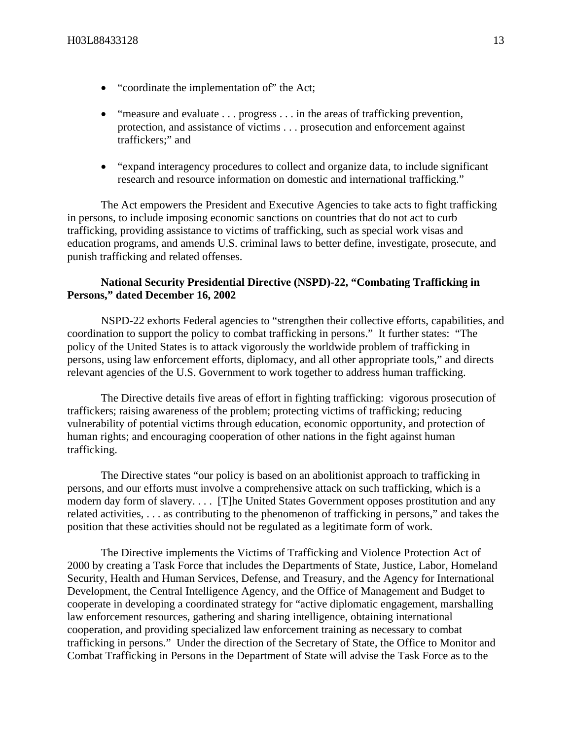- "coordinate the implementation of" the Act;
- "measure and evaluate . . . progress . . . in the areas of trafficking prevention, protection, and assistance of victims . . . prosecution and enforcement against traffickers;" and
- "expand interagency procedures to collect and organize data, to include significant research and resource information on domestic and international trafficking."

The Act empowers the President and Executive Agencies to take acts to fight trafficking in persons, to include imposing economic sanctions on countries that do not act to curb trafficking, providing assistance to victims of trafficking, such as special work visas and education programs, and amends U.S. criminal laws to better define, investigate, prosecute, and punish trafficking and related offenses.

# **National Security Presidential Directive (NSPD)-22, "Combating Trafficking in Persons," dated December 16, 2002**

NSPD-22 exhorts Federal agencies to "strengthen their collective efforts, capabilities, and coordination to support the policy to combat trafficking in persons." It further states: "The policy of the United States is to attack vigorously the worldwide problem of trafficking in persons, using law enforcement efforts, diplomacy, and all other appropriate tools," and directs relevant agencies of the U.S. Government to work together to address human trafficking.

The Directive details five areas of effort in fighting trafficking: vigorous prosecution of traffickers; raising awareness of the problem; protecting victims of trafficking; reducing vulnerability of potential victims through education, economic opportunity, and protection of human rights; and encouraging cooperation of other nations in the fight against human trafficking.

The Directive states "our policy is based on an abolitionist approach to trafficking in persons, and our efforts must involve a comprehensive attack on such trafficking, which is a modern day form of slavery. . . . [T]he United States Government opposes prostitution and any related activities, . . . as contributing to the phenomenon of trafficking in persons," and takes the position that these activities should not be regulated as a legitimate form of work.

The Directive implements the Victims of Trafficking and Violence Protection Act of 2000 by creating a Task Force that includes the Departments of State, Justice, Labor, Homeland Security, Health and Human Services, Defense, and Treasury, and the Agency for International Development, the Central Intelligence Agency, and the Office of Management and Budget to cooperate in developing a coordinated strategy for "active diplomatic engagement, marshalling law enforcement resources, gathering and sharing intelligence, obtaining international cooperation, and providing specialized law enforcement training as necessary to combat trafficking in persons." Under the direction of the Secretary of State, the Office to Monitor and Combat Trafficking in Persons in the Department of State will advise the Task Force as to the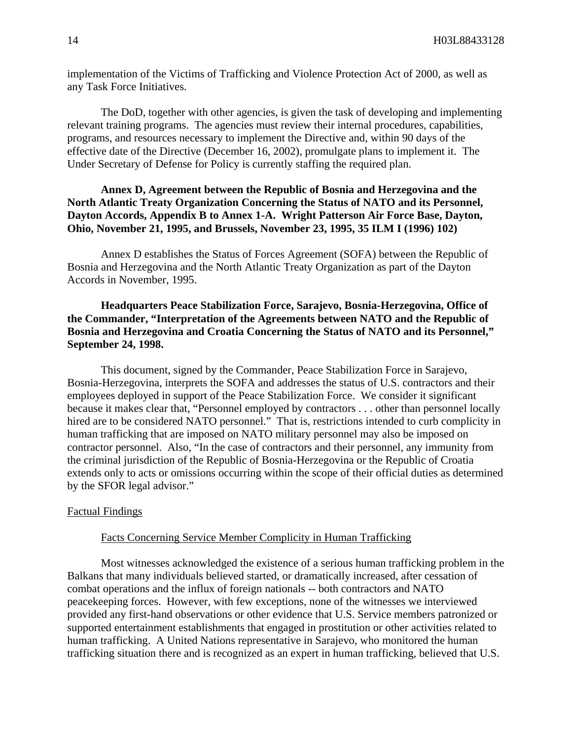implementation of the Victims of Trafficking and Violence Protection Act of 2000, as well as any Task Force Initiatives.

The DoD, together with other agencies, is given the task of developing and implementing relevant training programs. The agencies must review their internal procedures, capabilities, programs, and resources necessary to implement the Directive and, within 90 days of the effective date of the Directive (December 16, 2002), promulgate plans to implement it. The Under Secretary of Defense for Policy is currently staffing the required plan.

# **Annex D, Agreement between the Republic of Bosnia and Herzegovina and the North Atlantic Treaty Organization Concerning the Status of NATO and its Personnel, Dayton Accords, Appendix B to Annex 1-A. Wright Patterson Air Force Base, Dayton, Ohio, November 21, 1995, and Brussels, November 23, 1995, 35 ILM I (1996) 102)**

Annex D establishes the Status of Forces Agreement (SOFA) between the Republic of Bosnia and Herzegovina and the North Atlantic Treaty Organization as part of the Dayton Accords in November, 1995.

# **Headquarters Peace Stabilization Force, Sarajevo, Bosnia-Herzegovina, Office of the Commander, "Interpretation of the Agreements between NATO and the Republic of Bosnia and Herzegovina and Croatia Concerning the Status of NATO and its Personnel," September 24, 1998.**

This document, signed by the Commander, Peace Stabilization Force in Sarajevo, Bosnia-Herzegovina, interprets the SOFA and addresses the status of U.S. contractors and their employees deployed in support of the Peace Stabilization Force. We consider it significant because it makes clear that, "Personnel employed by contractors . . . other than personnel locally hired are to be considered NATO personnel." That is, restrictions intended to curb complicity in human trafficking that are imposed on NATO military personnel may also be imposed on contractor personnel. Also, "In the case of contractors and their personnel, any immunity from the criminal jurisdiction of the Republic of Bosnia-Herzegovina or the Republic of Croatia extends only to acts or omissions occurring within the scope of their official duties as determined by the SFOR legal advisor."

#### Factual Findings

#### Facts Concerning Service Member Complicity in Human Trafficking

Most witnesses acknowledged the existence of a serious human trafficking problem in the Balkans that many individuals believed started, or dramatically increased, after cessation of combat operations and the influx of foreign nationals -- both contractors and NATO peacekeeping forces. However, with few exceptions, none of the witnesses we interviewed provided any first-hand observations or other evidence that U.S. Service members patronized or supported entertainment establishments that engaged in prostitution or other activities related to human trafficking. A United Nations representative in Sarajevo, who monitored the human trafficking situation there and is recognized as an expert in human trafficking, believed that U.S.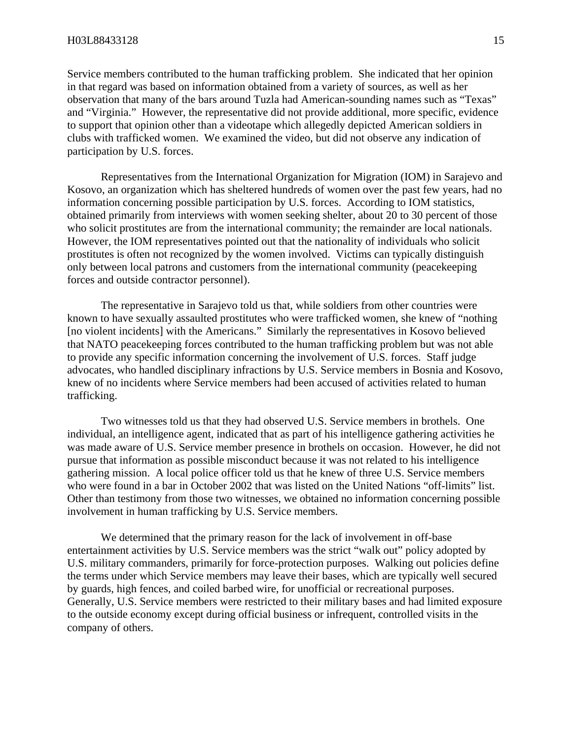Service members contributed to the human trafficking problem. She indicated that her opinion in that regard was based on information obtained from a variety of sources, as well as her observation that many of the bars around Tuzla had American-sounding names such as "Texas" and "Virginia." However, the representative did not provide additional, more specific, evidence to support that opinion other than a videotape which allegedly depicted American soldiers in clubs with trafficked women. We examined the video, but did not observe any indication of participation by U.S. forces.

Representatives from the International Organization for Migration (IOM) in Sarajevo and Kosovo, an organization which has sheltered hundreds of women over the past few years, had no information concerning possible participation by U.S. forces. According to IOM statistics, obtained primarily from interviews with women seeking shelter, about 20 to 30 percent of those who solicit prostitutes are from the international community; the remainder are local nationals. However, the IOM representatives pointed out that the nationality of individuals who solicit prostitutes is often not recognized by the women involved. Victims can typically distinguish only between local patrons and customers from the international community (peacekeeping forces and outside contractor personnel).

The representative in Sarajevo told us that, while soldiers from other countries were known to have sexually assaulted prostitutes who were trafficked women, she knew of "nothing [no violent incidents] with the Americans." Similarly the representatives in Kosovo believed that NATO peacekeeping forces contributed to the human trafficking problem but was not able to provide any specific information concerning the involvement of U.S. forces. Staff judge advocates, who handled disciplinary infractions by U.S. Service members in Bosnia and Kosovo, knew of no incidents where Service members had been accused of activities related to human trafficking.

Two witnesses told us that they had observed U.S. Service members in brothels. One individual, an intelligence agent, indicated that as part of his intelligence gathering activities he was made aware of U.S. Service member presence in brothels on occasion. However, he did not pursue that information as possible misconduct because it was not related to his intelligence gathering mission. A local police officer told us that he knew of three U.S. Service members who were found in a bar in October 2002 that was listed on the United Nations "off-limits" list. Other than testimony from those two witnesses, we obtained no information concerning possible involvement in human trafficking by U.S. Service members.

We determined that the primary reason for the lack of involvement in off-base entertainment activities by U.S. Service members was the strict "walk out" policy adopted by U.S. military commanders, primarily for force-protection purposes. Walking out policies define the terms under which Service members may leave their bases, which are typically well secured by guards, high fences, and coiled barbed wire, for unofficial or recreational purposes. Generally, U.S. Service members were restricted to their military bases and had limited exposure to the outside economy except during official business or infrequent, controlled visits in the company of others.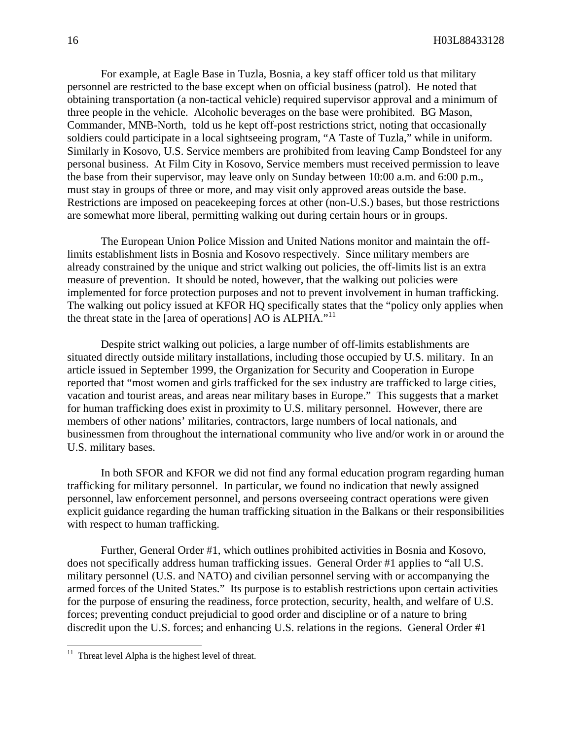For example, at Eagle Base in Tuzla, Bosnia, a key staff officer told us that military personnel are restricted to the base except when on official business (patrol). He noted that obtaining transportation (a non-tactical vehicle) required supervisor approval and a minimum of three people in the vehicle. Alcoholic beverages on the base were prohibited. BG Mason, Commander, MNB-North, told us he kept off-post restrictions strict, noting that occasionally soldiers could participate in a local sightseeing program, "A Taste of Tuzla," while in uniform. Similarly in Kosovo, U.S. Service members are prohibited from leaving Camp Bondsteel for any personal business. At Film City in Kosovo, Service members must received permission to leave the base from their supervisor, may leave only on Sunday between 10:00 a.m. and 6:00 p.m., must stay in groups of three or more, and may visit only approved areas outside the base. Restrictions are imposed on peacekeeping forces at other (non-U.S.) bases, but those restrictions are somewhat more liberal, permitting walking out during certain hours or in groups.

The European Union Police Mission and United Nations monitor and maintain the offlimits establishment lists in Bosnia and Kosovo respectively. Since military members are already constrained by the unique and strict walking out policies, the off-limits list is an extra measure of prevention. It should be noted, however, that the walking out policies were implemented for force protection purposes and not to prevent involvement in human trafficking. The walking out policy issued at KFOR HQ specifically states that the "policy only applies when the threat state in the [area of operations] AO is ALPHA."<sup>11</sup>

Despite strict walking out policies, a large number of off-limits establishments are situated directly outside military installations, including those occupied by U.S. military. In an article issued in September 1999, the Organization for Security and Cooperation in Europe reported that "most women and girls trafficked for the sex industry are trafficked to large cities, vacation and tourist areas, and areas near military bases in Europe." This suggests that a market for human trafficking does exist in proximity to U.S. military personnel. However, there are members of other nations' militaries, contractors, large numbers of local nationals, and businessmen from throughout the international community who live and/or work in or around the U.S. military bases.

In both SFOR and KFOR we did not find any formal education program regarding human trafficking for military personnel. In particular, we found no indication that newly assigned personnel, law enforcement personnel, and persons overseeing contract operations were given explicit guidance regarding the human trafficking situation in the Balkans or their responsibilities with respect to human trafficking.

Further, General Order #1, which outlines prohibited activities in Bosnia and Kosovo, does not specifically address human trafficking issues. General Order #1 applies to "all U.S. military personnel (U.S. and NATO) and civilian personnel serving with or accompanying the armed forces of the United States." Its purpose is to establish restrictions upon certain activities for the purpose of ensuring the readiness, force protection, security, health, and welfare of U.S. forces; preventing conduct prejudicial to good order and discipline or of a nature to bring discredit upon the U.S. forces; and enhancing U.S. relations in the regions. General Order #1

1

<span id="page-16-0"></span> $11$  Threat level Alpha is the highest level of threat.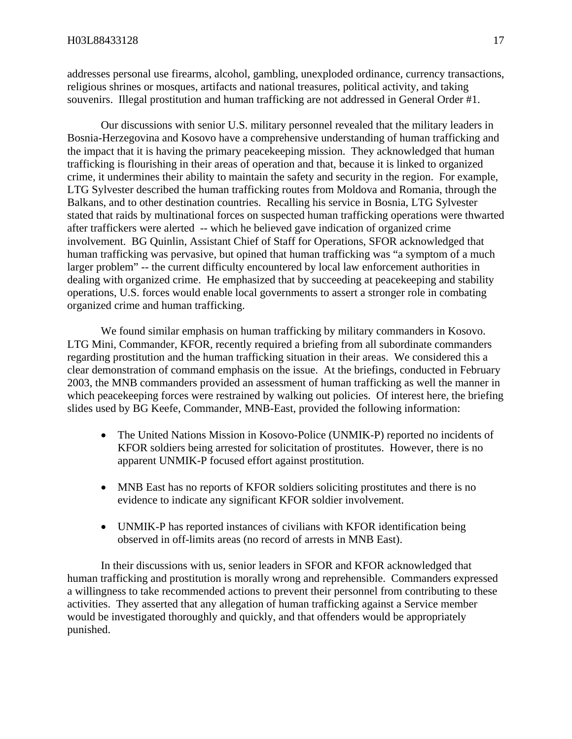addresses personal use firearms, alcohol, gambling, unexploded ordinance, currency transactions, religious shrines or mosques, artifacts and national treasures, political activity, and taking souvenirs. Illegal prostitution and human trafficking are not addressed in General Order #1.

Our discussions with senior U.S. military personnel revealed that the military leaders in Bosnia-Herzegovina and Kosovo have a comprehensive understanding of human trafficking and the impact that it is having the primary peacekeeping mission. They acknowledged that human trafficking is flourishing in their areas of operation and that, because it is linked to organized crime, it undermines their ability to maintain the safety and security in the region. For example, LTG Sylvester described the human trafficking routes from Moldova and Romania, through the Balkans, and to other destination countries. Recalling his service in Bosnia, LTG Sylvester stated that raids by multinational forces on suspected human trafficking operations were thwarted after traffickers were alerted -- which he believed gave indication of organized crime involvement. BG Quinlin, Assistant Chief of Staff for Operations, SFOR acknowledged that human trafficking was pervasive, but opined that human trafficking was "a symptom of a much larger problem" -- the current difficulty encountered by local law enforcement authorities in dealing with organized crime. He emphasized that by succeeding at peacekeeping and stability operations, U.S. forces would enable local governments to assert a stronger role in combating organized crime and human trafficking.

We found similar emphasis on human trafficking by military commanders in Kosovo. LTG Mini, Commander, KFOR, recently required a briefing from all subordinate commanders regarding prostitution and the human trafficking situation in their areas. We considered this a clear demonstration of command emphasis on the issue. At the briefings, conducted in February 2003, the MNB commanders provided an assessment of human trafficking as well the manner in which peacekeeping forces were restrained by walking out policies. Of interest here, the briefing slides used by BG Keefe, Commander, MNB-East, provided the following information:

- The United Nations Mission in Kosovo-Police (UNMIK-P) reported no incidents of KFOR soldiers being arrested for solicitation of prostitutes. However, there is no apparent UNMIK-P focused effort against prostitution.
- MNB East has no reports of KFOR soldiers soliciting prostitutes and there is no evidence to indicate any significant KFOR soldier involvement.
- UNMIK-P has reported instances of civilians with KFOR identification being observed in off-limits areas (no record of arrests in MNB East).

In their discussions with us, senior leaders in SFOR and KFOR acknowledged that human trafficking and prostitution is morally wrong and reprehensible. Commanders expressed a willingness to take recommended actions to prevent their personnel from contributing to these activities. They asserted that any allegation of human trafficking against a Service member would be investigated thoroughly and quickly, and that offenders would be appropriately punished.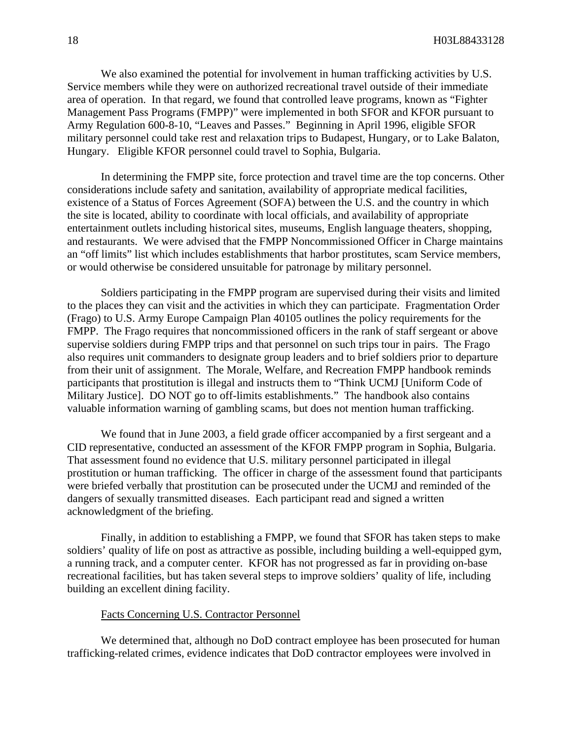We also examined the potential for involvement in human trafficking activities by U.S. Service members while they were on authorized recreational travel outside of their immediate area of operation. In that regard, we found that controlled leave programs, known as "Fighter Management Pass Programs (FMPP)" were implemented in both SFOR and KFOR pursuant to Army Regulation 600-8-10, "Leaves and Passes." Beginning in April 1996, eligible SFOR military personnel could take rest and relaxation trips to Budapest, Hungary, or to Lake Balaton, Hungary. Eligible KFOR personnel could travel to Sophia, Bulgaria.

In determining the FMPP site, force protection and travel time are the top concerns. Other considerations include safety and sanitation, availability of appropriate medical facilities, existence of a Status of Forces Agreement (SOFA) between the U.S. and the country in which the site is located, ability to coordinate with local officials, and availability of appropriate entertainment outlets including historical sites, museums, English language theaters, shopping, and restaurants. We were advised that the FMPP Noncommissioned Officer in Charge maintains an "off limits" list which includes establishments that harbor prostitutes, scam Service members, or would otherwise be considered unsuitable for patronage by military personnel.

Soldiers participating in the FMPP program are supervised during their visits and limited to the places they can visit and the activities in which they can participate. Fragmentation Order (Frago) to U.S. Army Europe Campaign Plan 40105 outlines the policy requirements for the FMPP. The Frago requires that noncommissioned officers in the rank of staff sergeant or above supervise soldiers during FMPP trips and that personnel on such trips tour in pairs. The Frago also requires unit commanders to designate group leaders and to brief soldiers prior to departure from their unit of assignment. The Morale, Welfare, and Recreation FMPP handbook reminds participants that prostitution is illegal and instructs them to "Think UCMJ [Uniform Code of Military Justice]. DO NOT go to off-limits establishments." The handbook also contains valuable information warning of gambling scams, but does not mention human trafficking.

We found that in June 2003, a field grade officer accompanied by a first sergeant and a CID representative, conducted an assessment of the KFOR FMPP program in Sophia, Bulgaria. That assessment found no evidence that U.S. military personnel participated in illegal prostitution or human trafficking. The officer in charge of the assessment found that participants were briefed verbally that prostitution can be prosecuted under the UCMJ and reminded of the dangers of sexually transmitted diseases. Each participant read and signed a written acknowledgment of the briefing.

Finally, in addition to establishing a FMPP, we found that SFOR has taken steps to make soldiers' quality of life on post as attractive as possible, including building a well-equipped gym, a running track, and a computer center. KFOR has not progressed as far in providing on-base recreational facilities, but has taken several steps to improve soldiers' quality of life, including building an excellent dining facility.

#### Facts Concerning U.S. Contractor Personnel

We determined that, although no DoD contract employee has been prosecuted for human trafficking-related crimes, evidence indicates that DoD contractor employees were involved in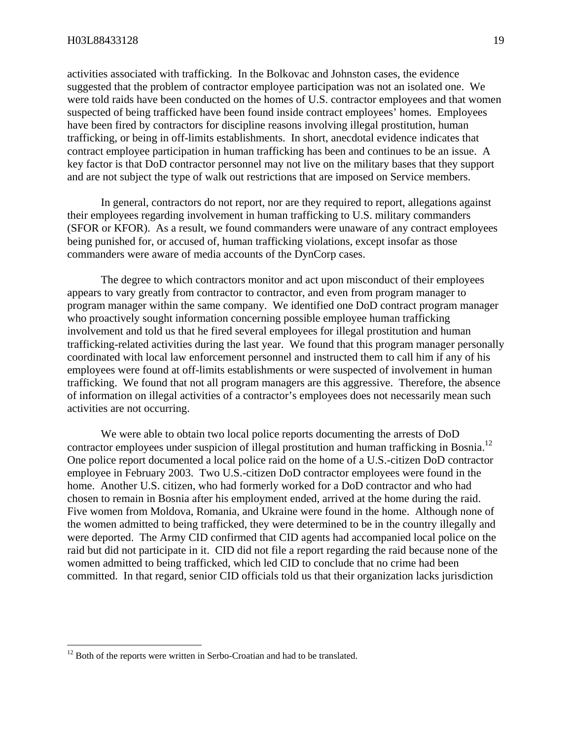activities associated with trafficking. In the Bolkovac and Johnston cases, the evidence suggested that the problem of contractor employee participation was not an isolated one. We were told raids have been conducted on the homes of U.S. contractor employees and that women suspected of being trafficked have been found inside contract employees' homes. Employees have been fired by contractors for discipline reasons involving illegal prostitution, human trafficking, or being in off-limits establishments. In short, anecdotal evidence indicates that contract employee participation in human trafficking has been and continues to be an issue. A key factor is that DoD contractor personnel may not live on the military bases that they support and are not subject the type of walk out restrictions that are imposed on Service members.

In general, contractors do not report, nor are they required to report, allegations against their employees regarding involvement in human trafficking to U.S. military commanders (SFOR or KFOR). As a result, we found commanders were unaware of any contract employees being punished for, or accused of, human trafficking violations, except insofar as those commanders were aware of media accounts of the DynCorp cases.

The degree to which contractors monitor and act upon misconduct of their employees appears to vary greatly from contractor to contractor, and even from program manager to program manager within the same company. We identified one DoD contract program manager who proactively sought information concerning possible employee human trafficking involvement and told us that he fired several employees for illegal prostitution and human trafficking-related activities during the last year. We found that this program manager personally coordinated with local law enforcement personnel and instructed them to call him if any of his employees were found at off-limits establishments or were suspected of involvement in human trafficking. We found that not all program managers are this aggressive. Therefore, the absence of information on illegal activities of a contractor's employees does not necessarily mean such activities are not occurring.

We were able to obtain two local police reports documenting the arrests of DoD contractor employees under suspicion of illegal prostitution and human trafficking in Bosnia.<sup>12</sup> One police report documented a local police raid on the home of a U.S.-citizen DoD contractor employee in February 2003. Two U.S.-citizen DoD contractor employees were found in the home. Another U.S. citizen, who had formerly worked for a DoD contractor and who had chosen to remain in Bosnia after his employment ended, arrived at the home during the raid. Five women from Moldova, Romania, and Ukraine were found in the home. Although none of the women admitted to being trafficked, they were determined to be in the country illegally and were deported. The Army CID confirmed that CID agents had accompanied local police on the raid but did not participate in it. CID did not file a report regarding the raid because none of the women admitted to being trafficked, which led CID to conclude that no crime had been committed. In that regard, senior CID officials told us that their organization lacks jurisdiction

1

<span id="page-19-0"></span> $12$  Both of the reports were written in Serbo-Croatian and had to be translated.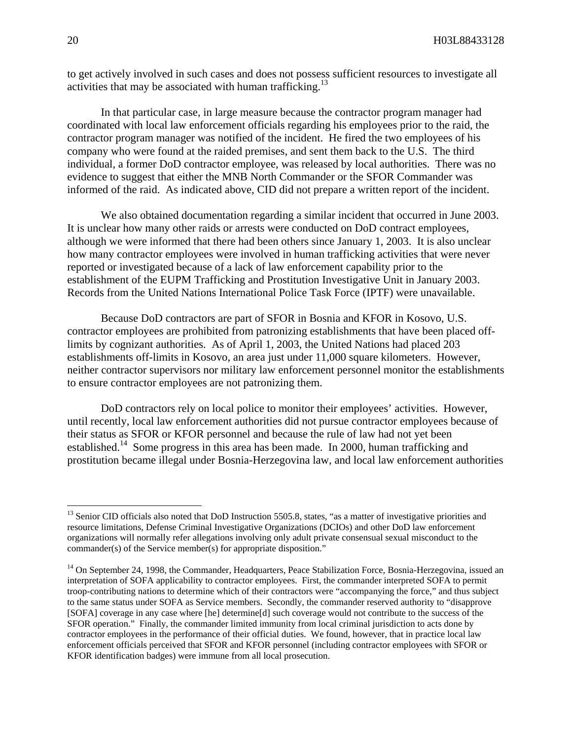to get actively involved in such cases and does not possess sufficient resources to investigate all activities that may be associated with human trafficking.<sup>13</sup>

In that particular case, in large measure because the contractor program manager had coordinated with local law enforcement officials regarding his employees prior to the raid, the contractor program manager was notified of the incident. He fired the two employees of his company who were found at the raided premises, and sent them back to the U.S. The third individual, a former DoD contractor employee, was released by local authorities. There was no evidence to suggest that either the MNB North Commander or the SFOR Commander was informed of the raid. As indicated above, CID did not prepare a written report of the incident.

We also obtained documentation regarding a similar incident that occurred in June 2003. It is unclear how many other raids or arrests were conducted on DoD contract employees, although we were informed that there had been others since January 1, 2003. It is also unclear how many contractor employees were involved in human trafficking activities that were never reported or investigated because of a lack of law enforcement capability prior to the establishment of the EUPM Trafficking and Prostitution Investigative Unit in January 2003. Records from the United Nations International Police Task Force (IPTF) were unavailable.

Because DoD contractors are part of SFOR in Bosnia and KFOR in Kosovo, U.S. contractor employees are prohibited from patronizing establishments that have been placed offlimits by cognizant authorities. As of April 1, 2003, the United Nations had placed 203 establishments off-limits in Kosovo, an area just under 11,000 square kilometers. However, neither contractor supervisors nor military law enforcement personnel monitor the establishments to ensure contractor employees are not patronizing them.

DoD contractors rely on local police to monitor their employees' activities. However, until recently, local law enforcement authorities did not pursue contractor employees because of their status as SFOR or KFOR personnel and because the rule of law had not yet been established.<sup>14</sup> Some progress in this area has been made. In 2000, human trafficking and prostitution became illegal under Bosnia-Herzegovina law, and local law enforcement authorities

1

<span id="page-20-0"></span><sup>&</sup>lt;sup>13</sup> Senior CID officials also noted that DoD Instruction 5505.8, states, "as a matter of investigative priorities and resource limitations, Defense Criminal Investigative Organizations (DCIOs) and other DoD law enforcement organizations will normally refer allegations involving only adult private consensual sexual misconduct to the commander(s) of the Service member(s) for appropriate disposition."

<span id="page-20-1"></span><sup>&</sup>lt;sup>14</sup> On September 24, 1998, the Commander, Headquarters, Peace Stabilization Force, Bosnia-Herzegovina, issued an interpretation of SOFA applicability to contractor employees. First, the commander interpreted SOFA to permit troop-contributing nations to determine which of their contractors were "accompanying the force," and thus subject to the same status under SOFA as Service members. Secondly, the commander reserved authority to "disapprove [SOFA] coverage in any case where [he] determine[d] such coverage would not contribute to the success of the SFOR operation." Finally, the commander limited immunity from local criminal jurisdiction to acts done by contractor employees in the performance of their official duties. We found, however, that in practice local law enforcement officials perceived that SFOR and KFOR personnel (including contractor employees with SFOR or KFOR identification badges) were immune from all local prosecution.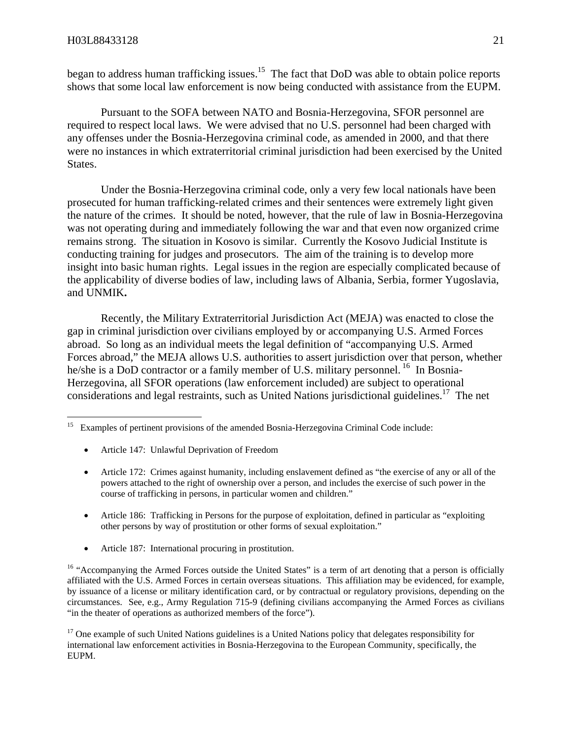1

began to address human trafficking issues.<sup>15</sup> The fact that DoD was able to obtain police reports shows that some local law enforcement is now being conducted with assistance from the EUPM.

Pursuant to the SOFA between NATO and Bosnia-Herzegovina, SFOR personnel are required to respect local laws. We were advised that no U.S. personnel had been charged with any offenses under the Bosnia-Herzegovina criminal code, as amended in 2000, and that there were no instances in which extraterritorial criminal jurisdiction had been exercised by the United States.

Under the Bosnia-Herzegovina criminal code, only a very few local nationals have been prosecuted for human trafficking-related crimes and their sentences were extremely light given the nature of the crimes. It should be noted, however, that the rule of law in Bosnia-Herzegovina was not operating during and immediately following the war and that even now organized crime remains strong. The situation in Kosovo is similar. Currently the Kosovo Judicial Institute is conducting training for judges and prosecutors. The aim of the training is to develop more insight into basic human rights. Legal issues in the region are especially complicated because of the applicability of diverse bodies of law, including laws of Albania, Serbia, former Yugoslavia, and UNMIK**.** 

Recently, the Military Extraterritorial Jurisdiction Act (MEJA) was enacted to close the gap in criminal jurisdiction over civilians employed by or accompanying U.S. Armed Forces abroad. So long as an individual meets the legal definition of "accompanying U.S. Armed Forces abroad," the MEJA allows U.S. authorities to assert jurisdiction over that person, whether he/she is a DoD contractor or a family member of U.S. military personnel.<sup>16</sup> In Bosnia-Herzegovina, all SFOR operations (law enforcement included) are subject to operational considerations and legal restraints, such as United Nations jurisdictional guidelines.[17](#page-21-2) The net

- Article 147: Unlawful Deprivation of Freedom
- Article 172: Crimes against humanity, including enslavement defined as "the exercise of any or all of the powers attached to the right of ownership over a person, and includes the exercise of such power in the course of trafficking in persons, in particular women and children."
- Article 186: Trafficking in Persons for the purpose of exploitation, defined in particular as "exploiting other persons by way of prostitution or other forms of sexual exploitation."
- Article 187: International procuring in prostitution.

<span id="page-21-1"></span><sup>16</sup> "Accompanying the Armed Forces outside the United States" is a term of art denoting that a person is officially affiliated with the U.S. Armed Forces in certain overseas situations. This affiliation may be evidenced, for example, by issuance of a license or military identification card, or by contractual or regulatory provisions, depending on the circumstances. See, e.g., Army Regulation 715-9 (defining civilians accompanying the Armed Forces as civilians "in the theater of operations as authorized members of the force").

<span id="page-21-2"></span><sup>17</sup> One example of such United Nations guidelines is a United Nations policy that delegates responsibility for international law enforcement activities in Bosnia-Herzegovina to the European Community, specifically, the EUPM.

<span id="page-21-0"></span><sup>&</sup>lt;sup>15</sup> Examples of pertinent provisions of the amended Bosnia-Herzegovina Criminal Code include: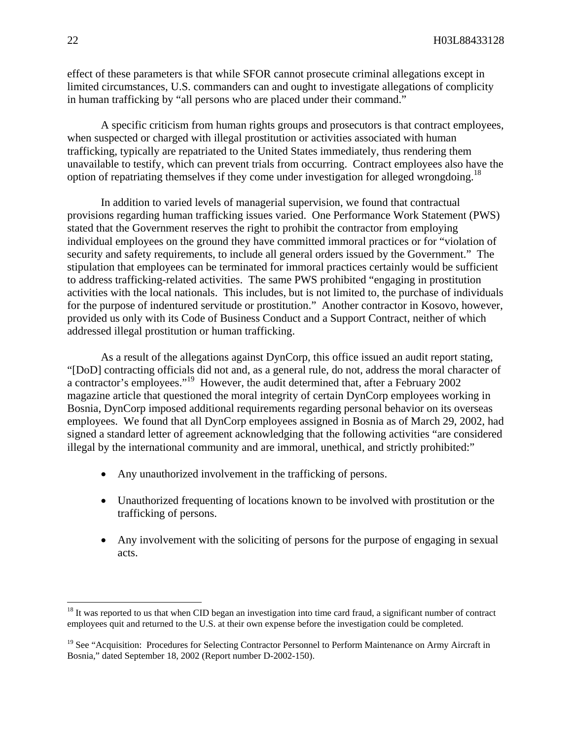effect of these parameters is that while SFOR cannot prosecute criminal allegations except in limited circumstances, U.S. commanders can and ought to investigate allegations of complicity in human trafficking by "all persons who are placed under their command."

A specific criticism from human rights groups and prosecutors is that contract employees, when suspected or charged with illegal prostitution or activities associated with human trafficking, typically are repatriated to the United States immediately, thus rendering them unavailable to testify, which can prevent trials from occurring. Contract employees also have the option of repatriating themselves if they come under investigation for alleged wrongdoing.<sup>18</sup>

In addition to varied levels of managerial supervision, we found that contractual provisions regarding human trafficking issues varied. One Performance Work Statement (PWS) stated that the Government reserves the right to prohibit the contractor from employing individual employees on the ground they have committed immoral practices or for "violation of security and safety requirements, to include all general orders issued by the Government." The stipulation that employees can be terminated for immoral practices certainly would be sufficient to address trafficking-related activities. The same PWS prohibited "engaging in prostitution activities with the local nationals. This includes, but is not limited to, the purchase of individuals for the purpose of indentured servitude or prostitution." Another contractor in Kosovo, however, provided us only with its Code of Business Conduct and a Support Contract, neither of which addressed illegal prostitution or human trafficking.

As a result of the allegations against DynCorp, this office issued an audit report stating, "[DoD] contracting officials did not and, as a general rule, do not, address the moral character of a contractor's employees."[19](#page-22-1) However, the audit determined that, after a February 2002 magazine article that questioned the moral integrity of certain DynCorp employees working in Bosnia, DynCorp imposed additional requirements regarding personal behavior on its overseas employees. We found that all DynCorp employees assigned in Bosnia as of March 29, 2002, had signed a standard letter of agreement acknowledging that the following activities "are considered illegal by the international community and are immoral, unethical, and strictly prohibited:"

- Any unauthorized involvement in the trafficking of persons.
- Unauthorized frequenting of locations known to be involved with prostitution or the trafficking of persons.
- Any involvement with the soliciting of persons for the purpose of engaging in sexual acts.

1

<span id="page-22-0"></span> $18$  It was reported to us that when CID began an investigation into time card fraud, a significant number of contract employees quit and returned to the U.S. at their own expense before the investigation could be completed.

<span id="page-22-1"></span><sup>&</sup>lt;sup>19</sup> See "Acquisition: Procedures for Selecting Contractor Personnel to Perform Maintenance on Army Aircraft in Bosnia," dated September 18, 2002 (Report number D-2002-150).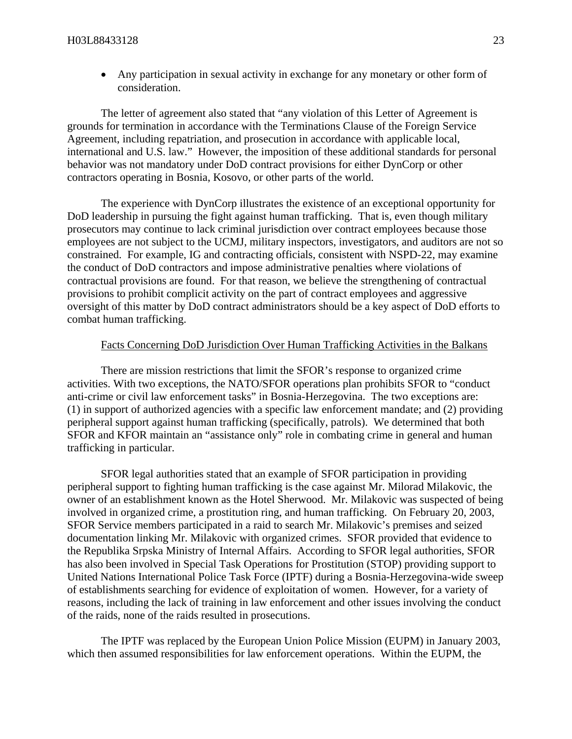• Any participation in sexual activity in exchange for any monetary or other form of consideration.

The letter of agreement also stated that "any violation of this Letter of Agreement is grounds for termination in accordance with the Terminations Clause of the Foreign Service Agreement, including repatriation, and prosecution in accordance with applicable local, international and U.S. law." However, the imposition of these additional standards for personal behavior was not mandatory under DoD contract provisions for either DynCorp or other contractors operating in Bosnia, Kosovo, or other parts of the world.

The experience with DynCorp illustrates the existence of an exceptional opportunity for DoD leadership in pursuing the fight against human trafficking. That is, even though military prosecutors may continue to lack criminal jurisdiction over contract employees because those employees are not subject to the UCMJ, military inspectors, investigators, and auditors are not so constrained. For example, IG and contracting officials, consistent with NSPD-22, may examine the conduct of DoD contractors and impose administrative penalties where violations of contractual provisions are found. For that reason, we believe the strengthening of contractual provisions to prohibit complicit activity on the part of contract employees and aggressive oversight of this matter by DoD contract administrators should be a key aspect of DoD efforts to combat human trafficking.

#### Facts Concerning DoD Jurisdiction Over Human Trafficking Activities in the Balkans

There are mission restrictions that limit the SFOR's response to organized crime activities. With two exceptions, the NATO/SFOR operations plan prohibits SFOR to "conduct anti-crime or civil law enforcement tasks" in Bosnia-Herzegovina. The two exceptions are: (1) in support of authorized agencies with a specific law enforcement mandate; and (2) providing peripheral support against human trafficking (specifically, patrols). We determined that both SFOR and KFOR maintain an "assistance only" role in combating crime in general and human trafficking in particular.

SFOR legal authorities stated that an example of SFOR participation in providing peripheral support to fighting human trafficking is the case against Mr. Milorad Milakovic, the owner of an establishment known as the Hotel Sherwood. Mr. Milakovic was suspected of being involved in organized crime, a prostitution ring, and human trafficking. On February 20, 2003, SFOR Service members participated in a raid to search Mr. Milakovic's premises and seized documentation linking Mr. Milakovic with organized crimes. SFOR provided that evidence to the Republika Srpska Ministry of Internal Affairs. According to SFOR legal authorities, SFOR has also been involved in Special Task Operations for Prostitution (STOP) providing support to United Nations International Police Task Force (IPTF) during a Bosnia-Herzegovina-wide sweep of establishments searching for evidence of exploitation of women. However, for a variety of reasons, including the lack of training in law enforcement and other issues involving the conduct of the raids, none of the raids resulted in prosecutions.

The IPTF was replaced by the European Union Police Mission (EUPM) in January 2003, which then assumed responsibilities for law enforcement operations. Within the EUPM, the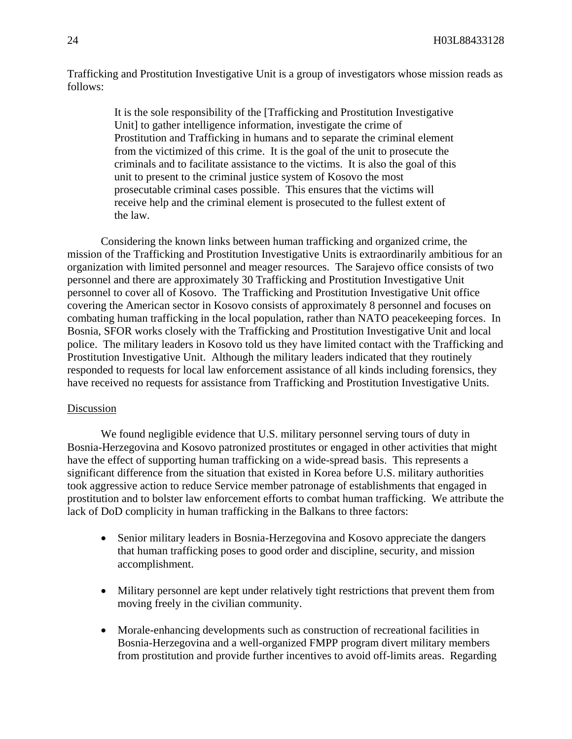Trafficking and Prostitution Investigative Unit is a group of investigators whose mission reads as follows:

> It is the sole responsibility of the [Trafficking and Prostitution Investigative Unit] to gather intelligence information, investigate the crime of Prostitution and Trafficking in humans and to separate the criminal element from the victimized of this crime. It is the goal of the unit to prosecute the criminals and to facilitate assistance to the victims. It is also the goal of this unit to present to the criminal justice system of Kosovo the most prosecutable criminal cases possible. This ensures that the victims will receive help and the criminal element is prosecuted to the fullest extent of the law.

Considering the known links between human trafficking and organized crime, the mission of the Trafficking and Prostitution Investigative Units is extraordinarily ambitious for an organization with limited personnel and meager resources. The Sarajevo office consists of two personnel and there are approximately 30 Trafficking and Prostitution Investigative Unit personnel to cover all of Kosovo. The Trafficking and Prostitution Investigative Unit office covering the American sector in Kosovo consists of approximately 8 personnel and focuses on combating human trafficking in the local population, rather than NATO peacekeeping forces. In Bosnia, SFOR works closely with the Trafficking and Prostitution Investigative Unit and local police. The military leaders in Kosovo told us they have limited contact with the Trafficking and Prostitution Investigative Unit. Although the military leaders indicated that they routinely responded to requests for local law enforcement assistance of all kinds including forensics, they have received no requests for assistance from Trafficking and Prostitution Investigative Units.

#### Discussion

 We found negligible evidence that U.S. military personnel serving tours of duty in Bosnia-Herzegovina and Kosovo patronized prostitutes or engaged in other activities that might have the effect of supporting human trafficking on a wide-spread basis. This represents a significant difference from the situation that existed in Korea before U.S. military authorities took aggressive action to reduce Service member patronage of establishments that engaged in prostitution and to bolster law enforcement efforts to combat human trafficking. We attribute the lack of DoD complicity in human trafficking in the Balkans to three factors:

- Senior military leaders in Bosnia-Herzegovina and Kosovo appreciate the dangers that human trafficking poses to good order and discipline, security, and mission accomplishment.
- Military personnel are kept under relatively tight restrictions that prevent them from moving freely in the civilian community.
- Morale-enhancing developments such as construction of recreational facilities in Bosnia-Herzegovina and a well-organized FMPP program divert military members from prostitution and provide further incentives to avoid off-limits areas. Regarding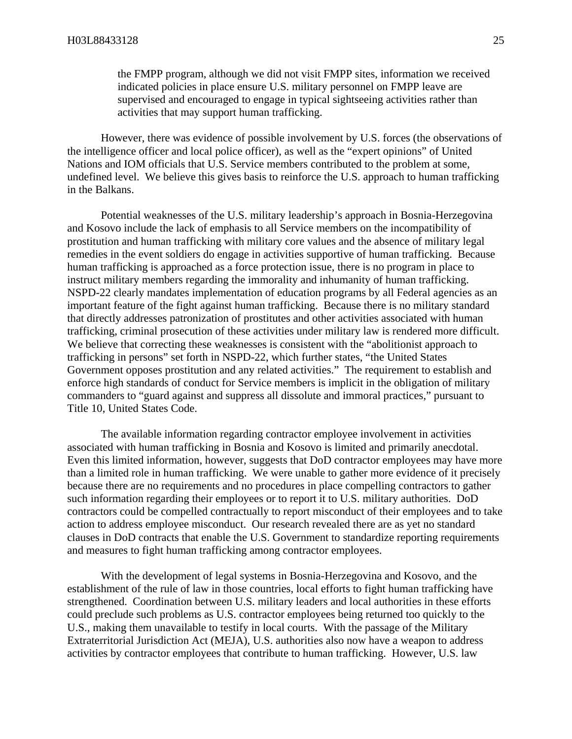the FMPP program, although we did not visit FMPP sites, information we received indicated policies in place ensure U.S. military personnel on FMPP leave are supervised and encouraged to engage in typical sightseeing activities rather than activities that may support human trafficking.

However, there was evidence of possible involvement by U.S. forces (the observations of the intelligence officer and local police officer), as well as the "expert opinions" of United Nations and IOM officials that U.S. Service members contributed to the problem at some, undefined level. We believe this gives basis to reinforce the U.S. approach to human trafficking in the Balkans.

Potential weaknesses of the U.S. military leadership's approach in Bosnia-Herzegovina and Kosovo include the lack of emphasis to all Service members on the incompatibility of prostitution and human trafficking with military core values and the absence of military legal remedies in the event soldiers do engage in activities supportive of human trafficking. Because human trafficking is approached as a force protection issue, there is no program in place to instruct military members regarding the immorality and inhumanity of human trafficking. NSPD-22 clearly mandates implementation of education programs by all Federal agencies as an important feature of the fight against human trafficking. Because there is no military standard that directly addresses patronization of prostitutes and other activities associated with human trafficking, criminal prosecution of these activities under military law is rendered more difficult. We believe that correcting these weaknesses is consistent with the "abolitionist approach to trafficking in persons" set forth in NSPD-22, which further states, "the United States Government opposes prostitution and any related activities." The requirement to establish and enforce high standards of conduct for Service members is implicit in the obligation of military commanders to "guard against and suppress all dissolute and immoral practices," pursuant to Title 10, United States Code.

The available information regarding contractor employee involvement in activities associated with human trafficking in Bosnia and Kosovo is limited and primarily anecdotal. Even this limited information, however, suggests that DoD contractor employees may have more than a limited role in human trafficking. We were unable to gather more evidence of it precisely because there are no requirements and no procedures in place compelling contractors to gather such information regarding their employees or to report it to U.S. military authorities. DoD contractors could be compelled contractually to report misconduct of their employees and to take action to address employee misconduct. Our research revealed there are as yet no standard clauses in DoD contracts that enable the U.S. Government to standardize reporting requirements and measures to fight human trafficking among contractor employees.

With the development of legal systems in Bosnia-Herzegovina and Kosovo, and the establishment of the rule of law in those countries, local efforts to fight human trafficking have strengthened. Coordination between U.S. military leaders and local authorities in these efforts could preclude such problems as U.S. contractor employees being returned too quickly to the U.S., making them unavailable to testify in local courts. With the passage of the Military Extraterritorial Jurisdiction Act (MEJA), U.S. authorities also now have a weapon to address activities by contractor employees that contribute to human trafficking. However, U.S. law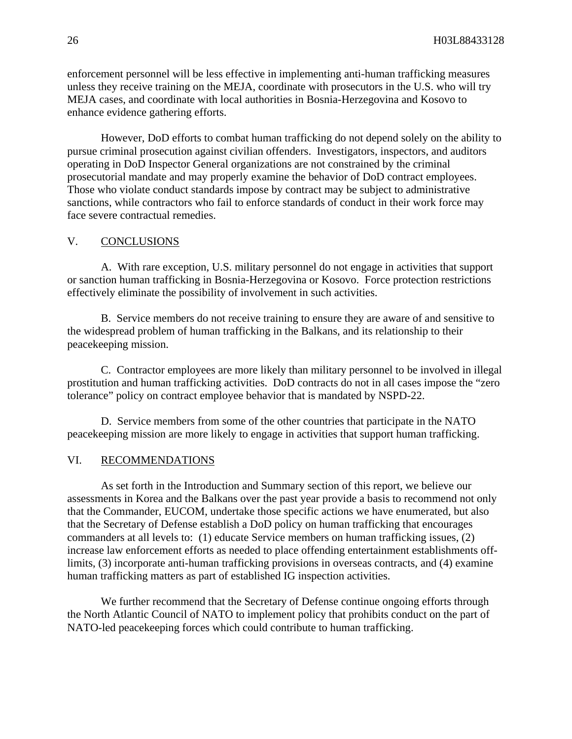enforcement personnel will be less effective in implementing anti-human trafficking measures unless they receive training on the MEJA, coordinate with prosecutors in the U.S. who will try MEJA cases, and coordinate with local authorities in Bosnia-Herzegovina and Kosovo to enhance evidence gathering efforts.

 However, DoD efforts to combat human trafficking do not depend solely on the ability to pursue criminal prosecution against civilian offenders. Investigators, inspectors, and auditors operating in DoD Inspector General organizations are not constrained by the criminal prosecutorial mandate and may properly examine the behavior of DoD contract employees. Those who violate conduct standards impose by contract may be subject to administrative sanctions, while contractors who fail to enforce standards of conduct in their work force may face severe contractual remedies.

#### V. CONCLUSIONS

A. With rare exception, U.S. military personnel do not engage in activities that support or sanction human trafficking in Bosnia-Herzegovina or Kosovo. Force protection restrictions effectively eliminate the possibility of involvement in such activities.

 B. Service members do not receive training to ensure they are aware of and sensitive to the widespread problem of human trafficking in the Balkans, and its relationship to their peacekeeping mission.

C. Contractor employees are more likely than military personnel to be involved in illegal prostitution and human trafficking activities. DoD contracts do not in all cases impose the "zero tolerance" policy on contract employee behavior that is mandated by NSPD-22.

D. Service members from some of the other countries that participate in the NATO peacekeeping mission are more likely to engage in activities that support human trafficking.

#### VI. RECOMMENDATIONS

As set forth in the Introduction and Summary section of this report, we believe our assessments in Korea and the Balkans over the past year provide a basis to recommend not only that the Commander, EUCOM, undertake those specific actions we have enumerated, but also that the Secretary of Defense establish a DoD policy on human trafficking that encourages commanders at all levels to: (1) educate Service members on human trafficking issues, (2) increase law enforcement efforts as needed to place offending entertainment establishments offlimits, (3) incorporate anti-human trafficking provisions in overseas contracts, and (4) examine human trafficking matters as part of established IG inspection activities.

We further recommend that the Secretary of Defense continue ongoing efforts through the North Atlantic Council of NATO to implement policy that prohibits conduct on the part of NATO-led peacekeeping forces which could contribute to human trafficking.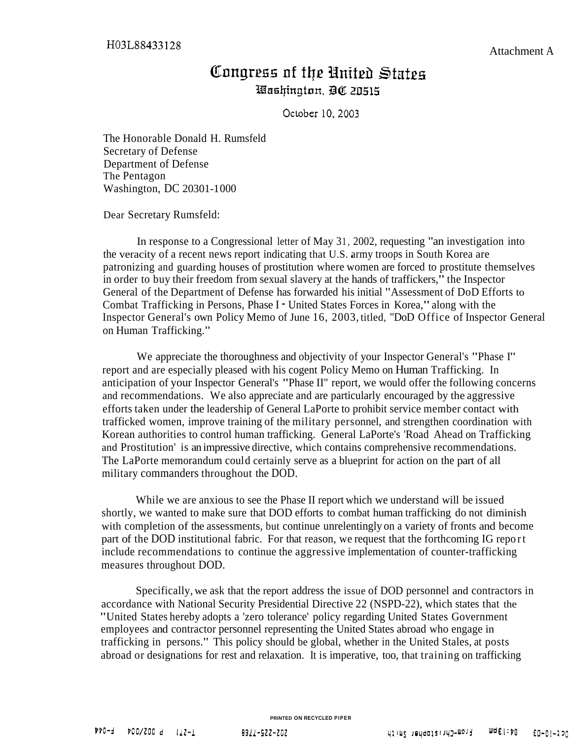# Congress of the United States Washington, BC 20515

October 10, 2003

The Honorable Donald H. Rumsfeld Secretary of Defense Department of Defense The Pentagon Washington, DC 20301-1 000

Dear Secretary Rumsfeld:

In response to a Congressional letter of May 3 1, 2002, requesting "an investigation into the veracity of a recent news report indicating that U.S.**.** army troops in South Korea are patronizing and guarding houses of prostitution where women are forced to prostitute themselves in order to buy their freedom from sexual slavery at the hands of traffickers," the Inspector General of the Department of Defense has forwarded his initial "Assessment of DoD Efforts to Combat Trafficking in Persons, Phase I - United States Forces in Korea," along with the Inspector General's own Policy Memo of June 16, 2003, titled, "DoD Office of Inspector General on Human Trafficking."

We appreciate the thoroughness and objectivity of your Inspector General's "Phase I" report and are especially pleased with his cogent Policy Memo on Human Trafficking. In anticipation of your Inspector General's "Phase II" report, we would offer the following concerns and recommendations. We also appreciate and are particularly encouraged by the aggressive efforts taken under the leadership of General LaPorte to prohibit service member contact with trafficked women, improve training of the military personnel, and strengthen coordination with Korean authorities to control human trafficking. General LaPorte's 'Road Ahead on Trafficking and Prostitution' is an impressive directive, which contains comprehensive recommendations. The LaPorte memorandum could certainly serve as a blueprint for action on the part of all military commanders throughout the DOD.

While we are anxious to see the Phase II report which we understand will be issued shortly, we wanted to make sure that DOD efforts to combat human trafficking do not diminish with completion of the assessments, but continue unrelentingly on a variety of fronts and become part of the DOD institutional fabric. For that reason, we request that the forthcoming IG report include recommendations to continue the aggressive implementation of counter-trafficking measures throughout DOD.

Specifically, we ask that the report address the issue of DOD personnel and contractors in accordance with National Security Presidential Directive 22 (NSPD-22), which states that the "United States hereby adopts a 'zero tolerance' policy regarding United States Government employees and contractor personnel representing the United States abroad who engage in trafficking in persons." This policy should be global, whether in the United Stales, at posts abroad or designations for rest and relaxation. It is imperative, too, that training on trafficking

PP0-d POD/200 d [12-1

#### **PRINTED ON RECYCLED PIPER**

**0911-fZZ-202** 

 $WdE$ : 20 from-Christopher Smith

 $E0 - 0$  (-100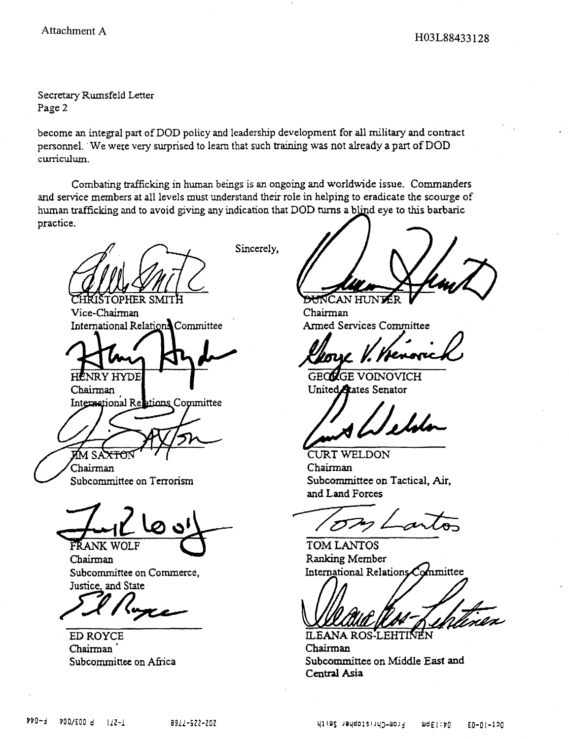Secretary Rumsfeld Letter Page 2

become an integral part of DOD policy and leadership development for all military and contract personnel. We were very surprised to learn that such training was not already a part of DOD curriculum.

Combating trafficking in human beings is an ongoing and worldwide issue. Commanders and service members at all levels must understand their role in helping to eradicate the scourge of human trafficking and to avoid giving any indication that DOD turns a blind eye to this barbaric practice.



FRANK WOLF

Chairman Subcommittee on Commerce, Justice, and State

**ED ROYCE** Chairman Subcommittee on Africa

Sincerely.

<del>DU</del>NCAN HUNTER

Chairman **Armed Services Committee** 

**GEORGE VOINOVICH** United Atates Senator

CURT WELDON Chairman Subcommittee on Tactical, Air, and Land Forces

**TOM LANTOS** Ranking Member International Relations Committee

**ILEANA ROS-LEHTI** 

Chairman Subcommittee on Middle East and Central Asia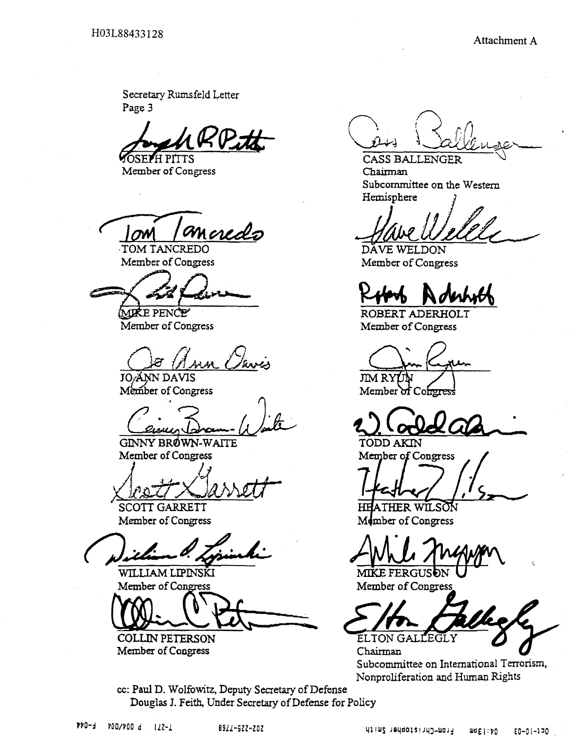Secretary Rumsfeld Letter Page 3

**SOSEPH PITTS** 

Member of Congress

ancredo

TOM TANCREDO Member of Congress

MIKE PENCE Member of Congress

**JO/ANN DAVIS** Member of Congress

**GINNY BRØWN-WAITE** Member of Congress

**SCOTT GARRETT** Member of Congress

WILLIAM LIPINSKI



**COLLIN PETERSON** Member of Congress

**CASS BALLENGER** Chairman Subcommittee on the Western Hemisphere

DĂVE WELDON Member of Congress

ROBERT ADERHOLT Member of Congress

JIM RYUN

Member of Congres

TODD AKIN Member of Congress

ATHER WILSON HF Member of Congress

MIKE FERGUSON

Member of Congress

ELTON GAL LEGL

Chairman Subcommittee on International Terrorism, Nonproliferation and Human Rights

cc: Paul D. Wolfowitz, Deputy Secretary of Defense Douglas J. Feith, Under Secretary of Defense for Policy

PPO-d POO/POO d 122-1 8911-522-202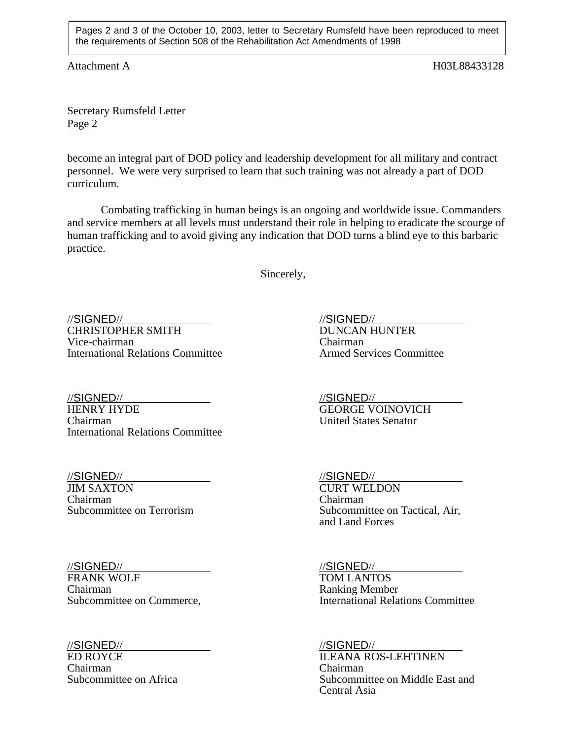Pages 2 and 3 of the October 10, 2003, letter to Secretary Rumsfeld have been reproduced to meet the requirements of Section 508 of the Rehabilitation Act Amendments of 1998

Attachment A H03L88433128

Secretary Rumsfeld Letter Page 2

become an integral part of DOD policy and leadership development for all military and contract personnel. We were very surprised to learn that such training was not already a part of DOD curriculum.

Combating trafficking in human beings is an ongoing and worldwide issue. Commanders and service members at all levels must understand their role in helping to eradicate the scourge of human trafficking and to avoid giving any indication that DOD turns a blind eye to this barbaric practice.

Sincerely,

//SIGNED// //SIGNED// CHRISTOPHER SMITH DUNCAN HUNTER Vice-chairman<br>International Relations Committee<br>Armed Services Committee International Relations Committee

//SIGNED// //SIGNED// HENRY HYDE GEORGE VOINOVICH<br>Chairman United States Senator International Relations Committee

//SIGNED// //SIGNED// Chairman Chairman

//SIGNED// //SIGNED// FRANK WOLF TOM LANTOS Chairman<br>Subcommittee on Commerce.<br>International Relat

//SIGNED// //SIGNED// Chairman Chairman

**United States Senator** 

**CURT WELDON** Subcommittee on Terrorism Subcommittee on Tactical, Air, and Land Forces

International Relations Committee

**ILEANA ROS-LEHTINEN** Subcommittee on Africa Subcommittee on Middle East and Central Asia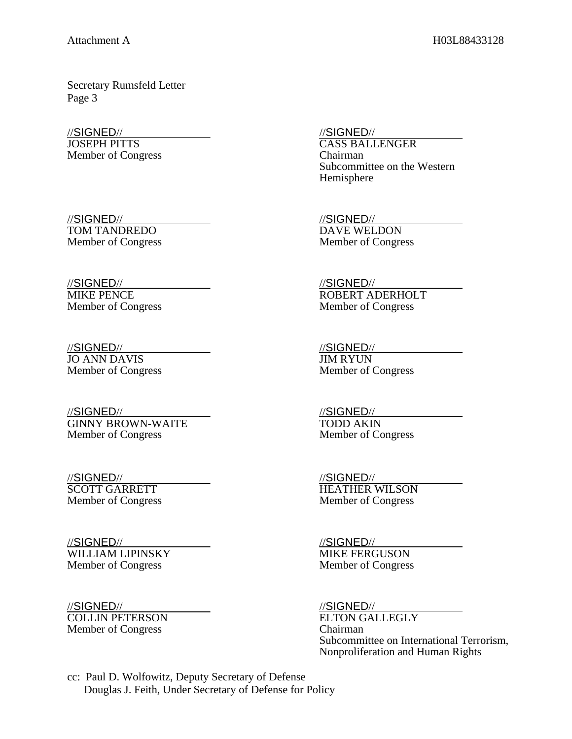Secretary Rumsfeld Letter Page 3

//SIGNED//<br>JOSEPH PITTS ////SIGNED///<br>CASS BALL Member of Congress Chairman

//SIGNED// //SIGNED// TOM TANDREDO<br>Member of Congress

//SIGNED// //SIGNED// Member of Congress Member of Congress

/<u>/SIGNED// //SIGNED// //SIGNED// //SIGNED//</u><br>JO ANN DAVIS JIM RYUN JO ANN DAVIS Member of Congress Member of Congress

//SIGNED//<br>GINNY BROWN-WAITE TODD AKIN **GINNY BROWN-WAITE** Member of Congress Member of Congress

//SIGNED// //SIGNED// Member of Congress Member of Congress

//SIGNED// //SIGNED// WILLIAM LIPINSKY<br>Member of Congress

//SIGNED//<br>COLLIN PETERSON FOR THE MANUSCRIPT OF THE MANUSCRIPT OF THE MANUSCRIPT OF THE MANUSCRIPT OF THE MANUSCRIPT OF <br>FLTON GALLEGLY **COLLIN PETERSON** Member of Congress Chairman

**CASS BALLENGER** Subcommittee on the Western Hemisphere

Member of Congress

ROBERT ADERHOLT

HEATHER WILSON

Member of Congress

Subcommittee on International Terrorism, Nonproliferation and Human Rights

cc: Paul D. Wolfowitz, Deputy Secretary of Defense Douglas J. Feith, Under Secretary of Defense for Policy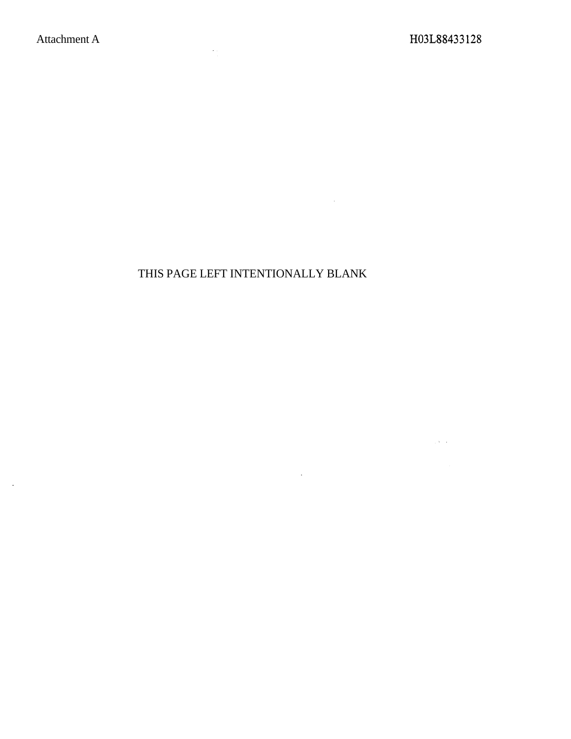$\sim 10^{-1}$ 

 $\mathcal{L}^{\text{max}}_{\text{max}}$  , where  $\mathcal{L}^{\text{max}}_{\text{max}}$ 

# THIS PAGE LEFT INTENTIONALLY BLANK

 $\mathcal{L}^{\text{max}}_{\text{max}}$  and  $\mathcal{L}^{\text{max}}_{\text{max}}$ 

 $\label{eq:2.1} \frac{1}{\sqrt{2}}\left(\frac{1}{\sqrt{2}}\right)^{2} \left(\frac{1}{\sqrt{2}}\right)^{2} \left(\frac{1}{\sqrt{2}}\right)^{2} \left(\frac{1}{\sqrt{2}}\right)^{2} \left(\frac{1}{\sqrt{2}}\right)^{2} \left(\frac{1}{\sqrt{2}}\right)^{2} \left(\frac{1}{\sqrt{2}}\right)^{2} \left(\frac{1}{\sqrt{2}}\right)^{2} \left(\frac{1}{\sqrt{2}}\right)^{2} \left(\frac{1}{\sqrt{2}}\right)^{2} \left(\frac{1}{\sqrt{2}}\right)^{2} \left(\$ 

 $\label{eq:2.1} \frac{1}{\sqrt{2}}\int_{0}^{\infty}\frac{1}{\sqrt{2\pi}}\left(\frac{1}{\sqrt{2\pi}}\right)^{2\alpha} \frac{1}{\sqrt{2\pi}}\int_{0}^{\infty}\frac{1}{\sqrt{2\pi}}\left(\frac{1}{\sqrt{2\pi}}\right)^{2\alpha} \frac{1}{\sqrt{2\pi}}\frac{1}{\sqrt{2\pi}}\int_{0}^{\infty}\frac{1}{\sqrt{2\pi}}\frac{1}{\sqrt{2\pi}}\frac{1}{\sqrt{2\pi}}\frac{1}{\sqrt{2\pi}}\frac{1}{\sqrt{2\pi}}\frac{1}{\sqrt{2\$